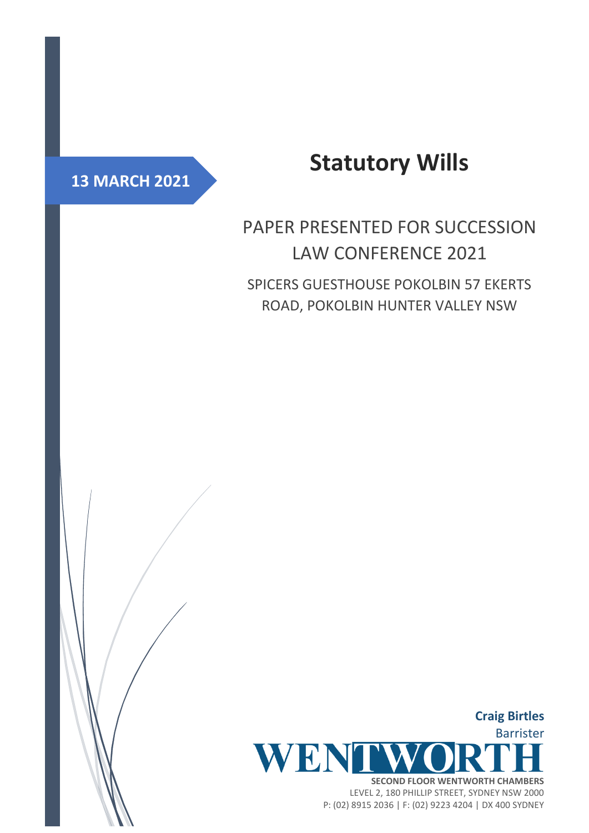## **13 MARCH 2021**

# **Statutory Wills**

# PAPER PRESENTED FOR SUCCESSION LAW CONFERENCE 2021

SPICERS GUESTHOUSE POKOLBIN 57 EKERTS ROAD, POKOLBIN HUNTER VALLEY NSW



P: (02) 8915 2036 | F: (02) 9223 4204 | DX 400 SYDNEY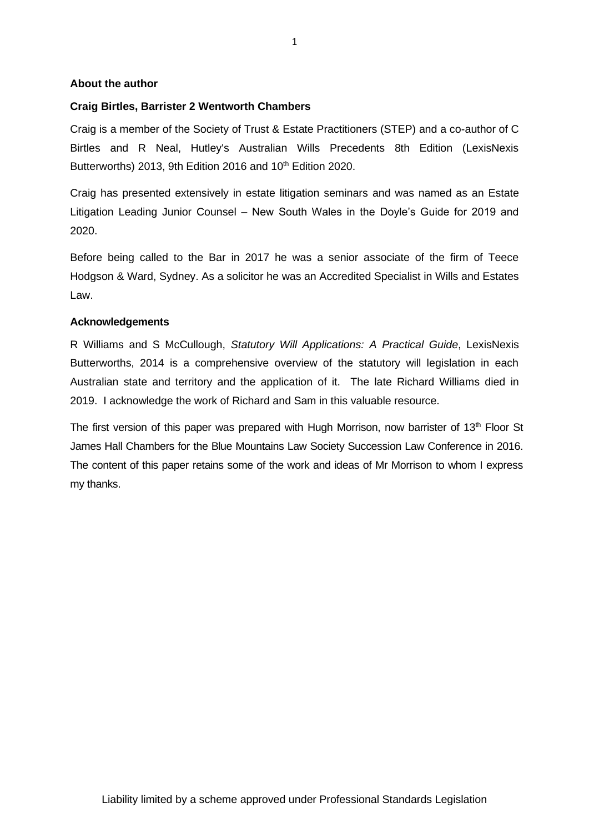#### **About the author**

#### **Craig Birtles, Barrister 2 Wentworth Chambers**

Craig is a member of the Society of Trust & Estate Practitioners (STEP) and a co-author of C Birtles and R Neal, Hutley's Australian Wills Precedents 8th Edition (LexisNexis Butterworths) 2013, 9th Edition 2016 and 10<sup>th</sup> Edition 2020.

Craig has presented extensively in estate litigation seminars and was named as an Estate Litigation Leading Junior Counsel – New South Wales in the Doyle's Guide for 2019 and 2020.

Before being called to the Bar in 2017 he was a senior associate of the firm of Teece Hodgson & Ward, Sydney. As a solicitor he was an Accredited Specialist in Wills and Estates Law.

#### **Acknowledgements**

R Williams and S McCullough, *Statutory Will Applications: A Practical Guide*, LexisNexis Butterworths, 2014 is a comprehensive overview of the statutory will legislation in each Australian state and territory and the application of it. The late Richard Williams died in 2019. I acknowledge the work of Richard and Sam in this valuable resource.

The first version of this paper was prepared with Hugh Morrison, now barrister of 13<sup>th</sup> Floor St James Hall Chambers for the Blue Mountains Law Society Succession Law Conference in 2016. The content of this paper retains some of the work and ideas of Mr Morrison to whom I express my thanks.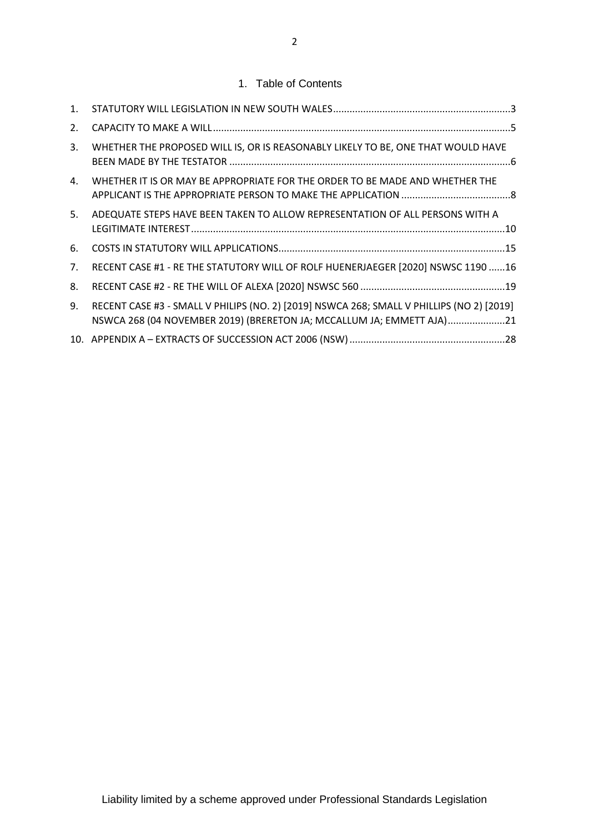## 1. Table of Contents

| 1.             |                                                                                                                                                                    |  |
|----------------|--------------------------------------------------------------------------------------------------------------------------------------------------------------------|--|
| 2.             |                                                                                                                                                                    |  |
| 3.             | WHETHER THE PROPOSED WILL IS, OR IS REASONABLY LIKELY TO BE, ONE THAT WOULD HAVE                                                                                   |  |
| 4.             | WHETHER IT IS OR MAY BE APPROPRIATE FOR THE ORDER TO BE MADE AND WHETHER THE                                                                                       |  |
| 5.             | ADEQUATE STEPS HAVE BEEN TAKEN TO ALLOW REPRESENTATION OF ALL PERSONS WITH A                                                                                       |  |
| 6.             |                                                                                                                                                                    |  |
| 7 <sub>1</sub> | RECENT CASE #1 - RE THE STATUTORY WILL OF ROLF HUENERJAEGER [2020] NSWSC 1190 16                                                                                   |  |
| 8.             |                                                                                                                                                                    |  |
| 9.             | RECENT CASE #3 - SMALL V PHILIPS (NO. 2) [2019] NSWCA 268; SMALL V PHILLIPS (NO 2) [2019]<br>NSWCA 268 (04 NOVEMBER 2019) (BRERETON JA; MCCALLUM JA; EMMETT AJA)21 |  |
|                |                                                                                                                                                                    |  |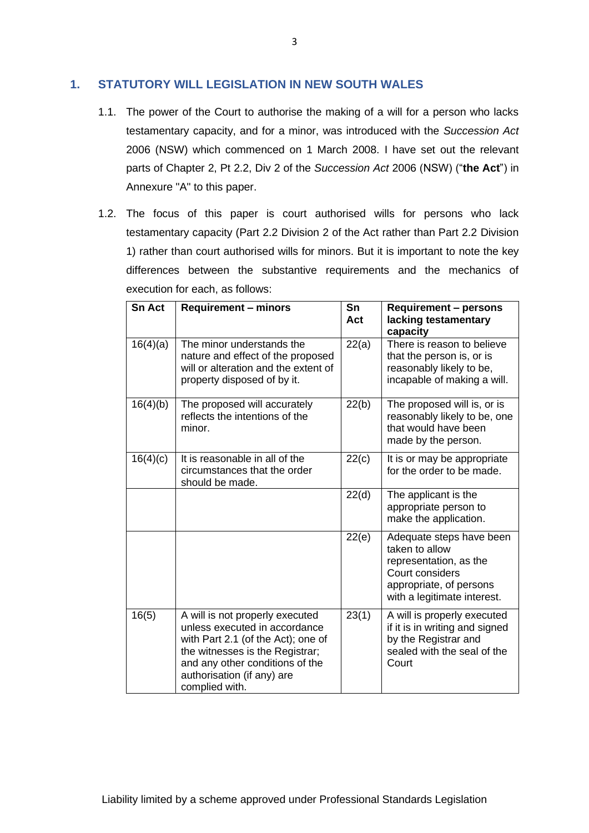## <span id="page-3-0"></span>**1. STATUTORY WILL LEGISLATION IN NEW SOUTH WALES**

- 1.1. The power of the Court to authorise the making of a will for a person who lacks testamentary capacity, and for a minor, was introduced with the *Succession Act* 2006 (NSW) which commenced on 1 March 2008. I have set out the relevant parts of Chapter 2, Pt 2.2, Div 2 of the *Succession Act* 2006 (NSW) ("**the Act**") in Annexure "A" to this paper.
- 1.2. The focus of this paper is court authorised wills for persons who lack testamentary capacity (Part 2.2 Division 2 of the Act rather than Part 2.2 Division 1) rather than court authorised wills for minors. But it is important to note the key differences between the substantive requirements and the mechanics of execution for each, as follows:

| <b>Sn Act</b> | <b>Requirement - minors</b>                                                                                                                                                                                                  | Sn<br>Act | <b>Requirement - persons</b><br>lacking testamentary<br>capacity                                                                                  |
|---------------|------------------------------------------------------------------------------------------------------------------------------------------------------------------------------------------------------------------------------|-----------|---------------------------------------------------------------------------------------------------------------------------------------------------|
| 16(4)(a)      | The minor understands the<br>nature and effect of the proposed<br>will or alteration and the extent of<br>property disposed of by it.                                                                                        | 22(a)     | There is reason to believe<br>that the person is, or is<br>reasonably likely to be,<br>incapable of making a will.                                |
| 16(4)(b)      | The proposed will accurately<br>reflects the intentions of the<br>minor.                                                                                                                                                     | 22(b)     | The proposed will is, or is<br>reasonably likely to be, one<br>that would have been<br>made by the person.                                        |
| 16(4)(c)      | It is reasonable in all of the<br>circumstances that the order<br>should be made.                                                                                                                                            | 22(c)     | It is or may be appropriate<br>for the order to be made.                                                                                          |
|               |                                                                                                                                                                                                                              | 22(d)     | The applicant is the<br>appropriate person to<br>make the application.                                                                            |
|               |                                                                                                                                                                                                                              | 22(e)     | Adequate steps have been<br>taken to allow<br>representation, as the<br>Court considers<br>appropriate, of persons<br>with a legitimate interest. |
| 16(5)         | A will is not properly executed<br>unless executed in accordance<br>with Part 2.1 (of the Act); one of<br>the witnesses is the Registrar;<br>and any other conditions of the<br>authorisation (if any) are<br>complied with. | 23(1)     | A will is properly executed<br>if it is in writing and signed<br>by the Registrar and<br>sealed with the seal of the<br>Court                     |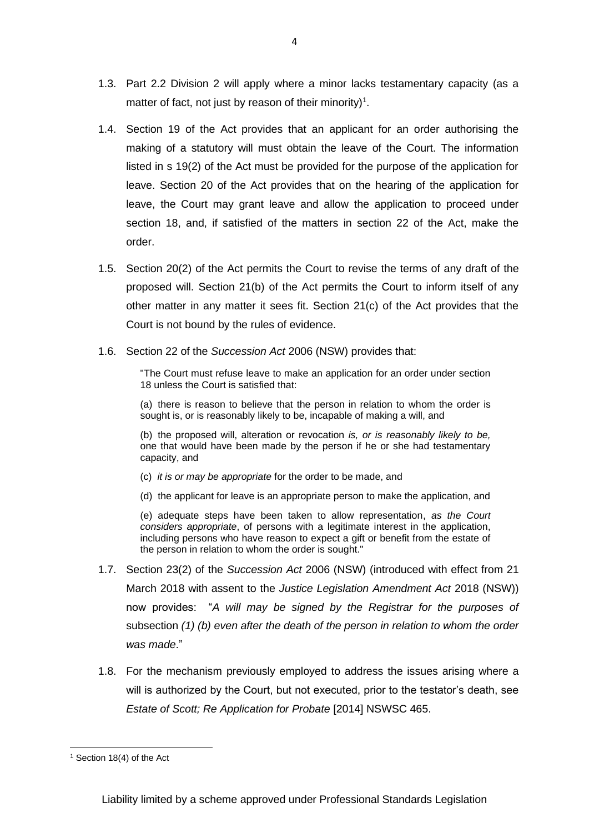- 1.3. Part 2.2 Division 2 will apply where a minor lacks testamentary capacity (as a matter of fact, not just by reason of their minority)<sup>1</sup>.
- 1.4. Section 19 of the Act provides that an applicant for an order authorising the making of a statutory will must obtain the leave of the Court. The information listed in s 19(2) of the Act must be provided for the purpose of the application for leave. Section 20 of the Act provides that on the hearing of the application for leave, the Court may grant leave and allow the application to proceed under section 18, and, if satisfied of the matters in section 22 of the Act, make the order.
- 1.5. Section 20(2) of the Act permits the Court to revise the terms of any draft of the proposed will. Section 21(b) of the Act permits the Court to inform itself of any other matter in any matter it sees fit. Section 21(c) of the Act provides that the Court is not bound by the rules of evidence.
- 1.6. Section 22 of the *Succession Act* 2006 (NSW) provides that:

"The Court must refuse leave to make an application for an order under section 18 unless the Court is satisfied that:

(a) there is reason to believe that the person in relation to whom the order is sought is, or is reasonably likely to be, incapable of making a will, and

(b) the proposed will, alteration or revocation *is, or is reasonably likely to be,* one that would have been made by the person if he or she had testamentary capacity, and

- (c) *it is or may be appropriate* for the order to be made, and
- (d) the applicant for leave is an appropriate person to make the application, and

(e) adequate steps have been taken to allow representation, *as the Court considers appropriate*, of persons with a legitimate interest in the application, including persons who have reason to expect a gift or benefit from the estate of the person in relation to whom the order is sought."

- 1.7. Section 23(2) of the *Succession Act* 2006 (NSW) (introduced with effect from 21 March 2018 with assent to the *Justice Legislation Amendment Act* 2018 (NSW)) now provides: "*A will may be signed by the Registrar for the purposes of*  subsection *(1) (b) even after the death of the person in relation to whom the order was made*."
- 1.8. For the mechanism previously employed to address the issues arising where a will is authorized by the Court, but not executed, prior to the testator's death, see *Estate of Scott; Re Application for Probate* [2014] NSWSC 465.

<sup>1</sup> Section 18(4) of the Act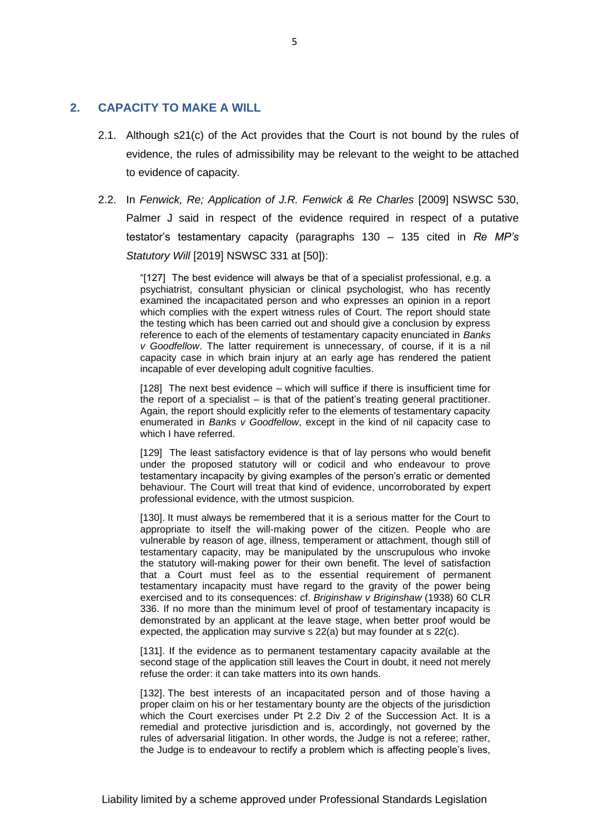### <span id="page-5-0"></span>**2. CAPACITY TO MAKE A WILL**

- 2.1. Although s21(c) of the Act provides that the Court is not bound by the rules of evidence, the rules of admissibility may be relevant to the weight to be attached to evidence of capacity.
- 2.2. In *Fenwick, Re; Application of J.R. Fenwick & Re Charles* [2009] NSWSC 530, Palmer J said in respect of the evidence required in respect of a putative testator's testamentary capacity (paragraphs 130 – 135 cited in *Re MP's Statutory Will* [2019] NSWSC 331 at [50]):

"[127] The best evidence will always be that of a specialist professional, e.g. a psychiatrist, consultant physician or clinical psychologist, who has recently examined the incapacitated person and who expresses an opinion in a report which complies with the expert witness rules of Court. The report should state the testing which has been carried out and should give a conclusion by express reference to each of the elements of testamentary capacity enunciated in *Banks v Goodfellow*. The latter requirement is unnecessary, of course, if it is a nil capacity case in which brain injury at an early age has rendered the patient incapable of ever developing adult cognitive faculties.

[128] The next best evidence – which will suffice if there is insufficient time for the report of a specialist – is that of the patient's treating general practitioner. Again, the report should explicitly refer to the elements of testamentary capacity enumerated in *Banks v Goodfellow*, except in the kind of nil capacity case to which I have referred.

[129] The least satisfactory evidence is that of lay persons who would benefit under the proposed statutory will or codicil and who endeavour to prove testamentary incapacity by giving examples of the person's erratic or demented behaviour. The Court will treat that kind of evidence, uncorroborated by expert professional evidence, with the utmost suspicion.

[130]. It must always be remembered that it is a serious matter for the Court to appropriate to itself the will-making power of the citizen. People who are vulnerable by reason of age, illness, temperament or attachment, though still of testamentary capacity, may be manipulated by the unscrupulous who invoke the statutory will-making power for their own benefit. The level of satisfaction that a Court must feel as to the essential requirement of permanent testamentary incapacity must have regard to the gravity of the power being exercised and to its consequences: cf. *Briginshaw v Briginshaw* (1938) 60 CLR 336. If no more than the minimum level of proof of testamentary incapacity is demonstrated by an applicant at the leave stage, when better proof would be expected, the application may survive s 22(a) but may founder at s 22(c).

[131]. If the evidence as to permanent testamentary capacity available at the second stage of the application still leaves the Court in doubt, it need not merely refuse the order: it can take matters into its own hands.

[132]. The best interests of an incapacitated person and of those having a proper claim on his or her testamentary bounty are the objects of the jurisdiction which the Court exercises under Pt 2.2 Div 2 of the Succession Act. It is a remedial and protective jurisdiction and is, accordingly, not governed by the rules of adversarial litigation. In other words, the Judge is not a referee; rather, the Judge is to endeavour to rectify a problem which is affecting people's lives,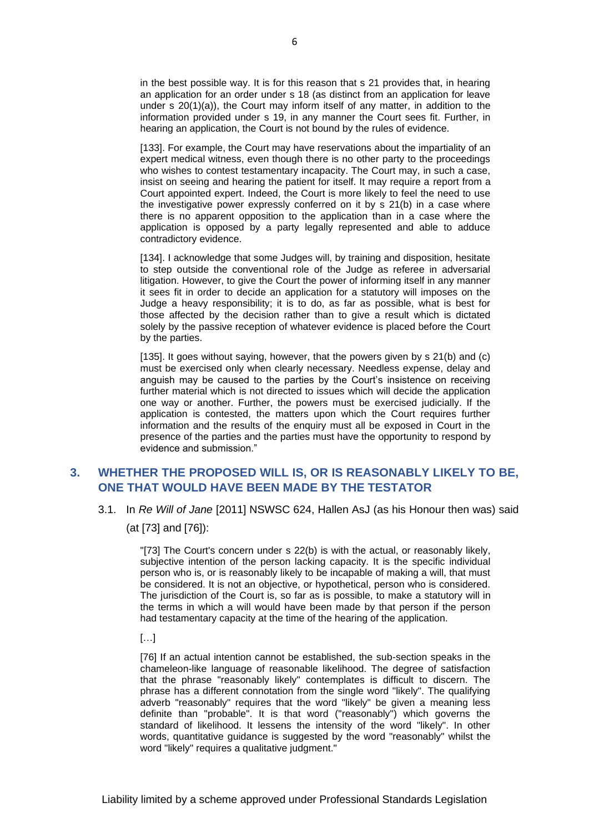in the best possible way. It is for this reason that s 21 provides that, in hearing an application for an order under s 18 (as distinct from an application for leave under s 20(1)(a)), the Court may inform itself of any matter, in addition to the information provided under s 19, in any manner the Court sees fit. Further, in hearing an application, the Court is not bound by the rules of evidence.

[133]. For example, the Court may have reservations about the impartiality of an expert medical witness, even though there is no other party to the proceedings who wishes to contest testamentary incapacity. The Court may, in such a case, insist on seeing and hearing the patient for itself. It may require a report from a Court appointed expert. Indeed, the Court is more likely to feel the need to use the investigative power expressly conferred on it by s 21(b) in a case where there is no apparent opposition to the application than in a case where the application is opposed by a party legally represented and able to adduce contradictory evidence.

[134]. I acknowledge that some Judges will, by training and disposition, hesitate to step outside the conventional role of the Judge as referee in adversarial litigation. However, to give the Court the power of informing itself in any manner it sees fit in order to decide an application for a statutory will imposes on the Judge a heavy responsibility; it is to do, as far as possible, what is best for those affected by the decision rather than to give a result which is dictated solely by the passive reception of whatever evidence is placed before the Court by the parties.

[135]. It goes without saying, however, that the powers given by s 21(b) and (c) must be exercised only when clearly necessary. Needless expense, delay and anguish may be caused to the parties by the Court's insistence on receiving further material which is not directed to issues which will decide the application one way or another. Further, the powers must be exercised judicially. If the application is contested, the matters upon which the Court requires further information and the results of the enquiry must all be exposed in Court in the presence of the parties and the parties must have the opportunity to respond by evidence and submission."

## <span id="page-6-0"></span>**3. WHETHER THE PROPOSED WILL IS, OR IS REASONABLY LIKELY TO BE, ONE THAT WOULD HAVE BEEN MADE BY THE TESTATOR**

3.1. In *Re Will of Jane* [2011] NSWSC 624, Hallen AsJ (as his Honour then was) said

(at [73] and [76]):

"[73] The Court's concern under [s 22\(b\)](http://www.austlii.edu.au/au/legis/nsw/consol_act/ga1987136/s22.html) is with the actual, or reasonably likely, subjective intention of the person lacking capacity. It is the specific individual person who is, or is reasonably likely to be incapable of making a will, that must be considered. It is not an objective, or hypothetical, person who is considered. The jurisdiction of the Court is, so far as is possible, to make a statutory will in the terms in which a will would have been made by that person if the person had testamentary capacity at the time of the hearing of the application.

[…]

[76] If an actual intention cannot be established, the sub-section speaks in the chameleon-like language of reasonable likelihood. The degree of satisfaction that the phrase "reasonably likely" contemplates is difficult to discern. The phrase has a different connotation from the single word "likely". The qualifying adverb "reasonably" requires that the word "likely" be given a meaning less definite than "probable". It is that word ("reasonably") which governs the standard of likelihood. It lessens the intensity of the word "likely". In other words, quantitative guidance is suggested by the word "reasonably" whilst the word "likely" requires a qualitative judgment."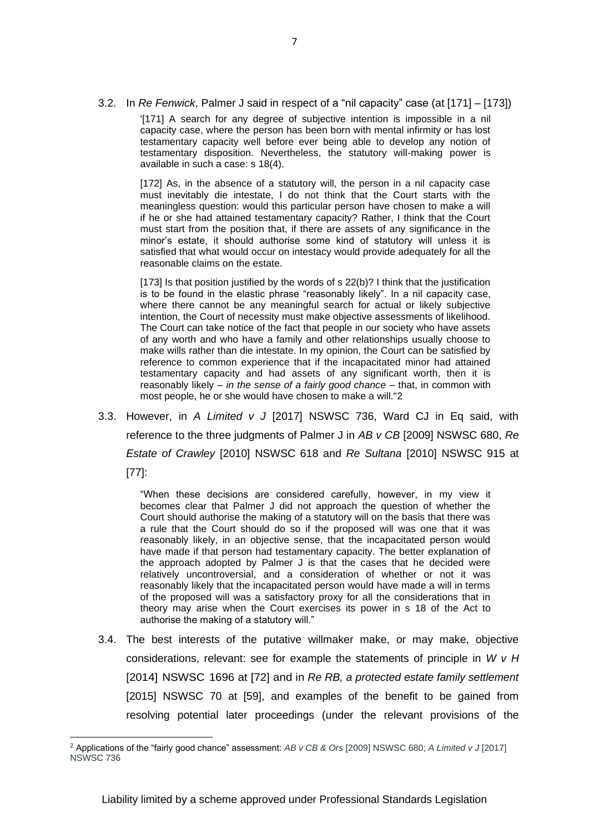3.2. In *Re Fenwick*, Palmer J said in respect of a "nil capacity" case (at [171] – [173])

'[171] A search for any degree of subjective intention is impossible in a nil capacity case, where the person has been born with mental infirmity or has lost testamentary capacity well before ever being able to develop any notion of testamentary disposition. Nevertheless, the statutory will-making power is available in such a case: s 18(4).

[172] As, in the absence of a statutory will, the person in a nil capacity case must inevitably die intestate, I do not think that the Court starts with the meaningless question: would this particular person have chosen to make a will if he or she had attained testamentary capacity? Rather, I think that the Court must start from the position that, if there are assets of any significance in the minor's estate, it should authorise some kind of statutory will unless it is satisfied that what would occur on intestacy would provide adequately for all the reasonable claims on the estate.

[173] Is that position justified by the words of s 22(b)? I think that the justification is to be found in the elastic phrase "reasonably likely". In a nil capacity case, where there cannot be any meaningful search for actual or likely subjective intention, the Court of necessity must make objective assessments of likelihood. The Court can take notice of the fact that people in our society who have assets of any worth and who have a family and other relationships usually choose to make wills rather than die intestate. In my opinion, the Court can be satisfied by reference to common experience that if the incapacitated minor had attained testamentary capacity and had assets of any significant worth, then it is reasonably likely – *in the sense of a fairly good chance* – that, in common with most people, he or she would have chosen to make a will."2

3.3. However, in *A Limited v J* [2017] NSWSC 736, Ward CJ in Eq said, with reference to the three judgments of Palmer J in *AB v CB* [2009] NSWSC 680, *Re Estate of Crawley* [2010] NSWSC 618 and *Re Sultana* [2010] NSWSC 915 at [77]:

"When these decisions are considered carefully, however, in my view it becomes clear that Palmer J did not approach the question of whether the Court should authorise the making of a statutory will on the basis that there was a rule that the Court should do so if the proposed will was one that it was reasonably likely, in an objective sense, that the incapacitated person would have made if that person had testamentary capacity. The better explanation of the approach adopted by Palmer J is that the cases that he decided were relatively uncontroversial, and a consideration of whether or not it was reasonably likely that the incapacitated person would have made a will in terms of the proposed will was a satisfactory proxy for all the considerations that in

authorise the making of a statutory will."

3.4. The best interests of the putative willmaker make, or may make, objective considerations, relevant: see for example the statements of principle in *W v H* [2014] NSWSC 1696 at [72] and in *Re RB, a protected estate family settlement*  [2015] NSWSC 70 at [59], and examples of the benefit to be gained from resolving potential later proceedings (under the relevant provisions of the

theory may arise when the Court exercises its power in s 18 of the Act to

<sup>2</sup> Applications of the "fairly good chance" assessment: *AB v CB & Ors* [2009] NSWSC 680; *A Limited v J* [2017] NSWSC 736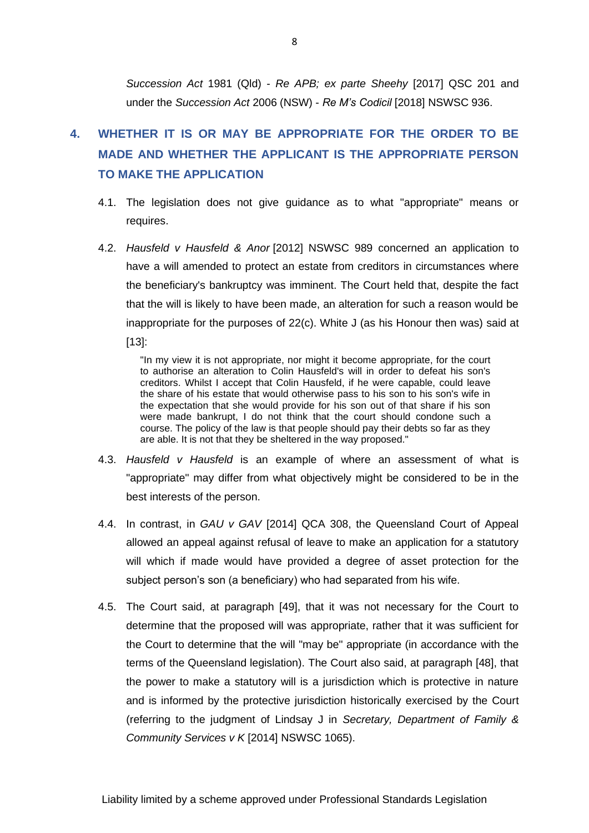*Succession Act* 1981 (Qld) - *Re APB; ex parte Sheehy* [2017] QSC 201 and under the *Succession Act* 2006 (NSW) - *Re M's Codicil* [2018] NSWSC 936.

## <span id="page-8-0"></span>**4. WHETHER IT IS OR MAY BE APPROPRIATE FOR THE ORDER TO BE MADE AND WHETHER THE APPLICANT IS THE APPROPRIATE PERSON TO MAKE THE APPLICATION**

- 4.1. The legislation does not give guidance as to what "appropriate" means or requires.
- 4.2. *Hausfeld v Hausfeld & Anor* [2012] NSWSC 989 concerned an application to have a will amended to protect an estate from creditors in circumstances where the beneficiary's bankruptcy was imminent. The Court held that, despite the fact that the will is likely to have been made, an alteration for such a reason would be inappropriate for the purposes of 22(c). White J (as his Honour then was) said at  $[13]$ :

"In my view it is not appropriate, nor might it become appropriate, for the court to authorise an alteration to Colin Hausfeld's will in order to defeat his son's creditors. Whilst I accept that Colin Hausfeld, if he were capable, could leave the share of his estate that would otherwise pass to his son to his son's wife in the expectation that she would provide for his son out of that share if his son were made bankrupt, I do not think that the court should condone such a course. The policy of the law is that people should pay their debts so far as they are able. It is not that they be sheltered in the way proposed."

- 4.3. *Hausfeld v Hausfeld* is an example of where an assessment of what is "appropriate" may differ from what objectively might be considered to be in the best interests of the person.
- 4.4. In contrast, in *GAU v GAV* [2014] QCA 308, the Queensland Court of Appeal allowed an appeal against refusal of leave to make an application for a statutory will which if made would have provided a degree of asset protection for the subject person's son (a beneficiary) who had separated from his wife.
- 4.5. The Court said, at paragraph [49], that it was not necessary for the Court to determine that the proposed will was appropriate, rather that it was sufficient for the Court to determine that the will "may be" appropriate (in accordance with the terms of the Queensland legislation). The Court also said, at paragraph [48], that the power to make a statutory will is a jurisdiction which is protective in nature and is informed by the protective jurisdiction historically exercised by the Court (referring to the judgment of Lindsay J in *Secretary, Department of Family & Community Services v K* [2014] NSWSC 1065).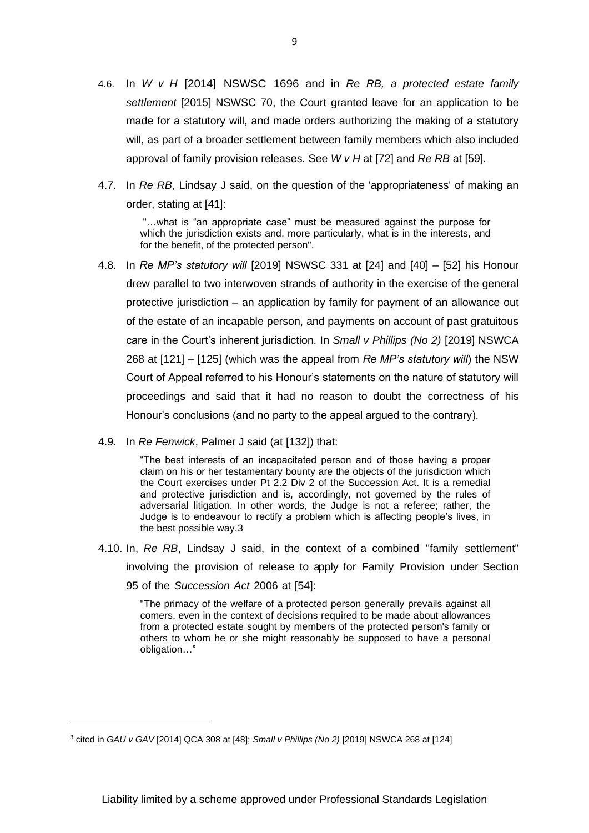- 4.6. In *W v H* [2014] NSWSC 1696 and in *Re RB, a protected estate family settlement* [2015] NSWSC 70, the Court granted leave for an application to be made for a statutory will, and made orders authorizing the making of a statutory will, as part of a broader settlement between family members which also included approval of family provision releases. See *W v H* at [72] and *Re RB* at [59].
- 4.7. In *Re RB*, Lindsay J said, on the question of the 'appropriateness' of making an order, stating at [41]:

"…what is "an appropriate case" must be measured against the purpose for which the jurisdiction exists and, more particularly, what is in the interests, and for the benefit, of the protected person".

- 4.8. In *Re MP's statutory will* [2019] NSWSC 331 at [24] and [40] [52] his Honour drew parallel to two interwoven strands of authority in the exercise of the general protective jurisdiction – an application by family for payment of an allowance out of the estate of an incapable person, and payments on account of past gratuitous care in the Court's inherent jurisdiction. In *Small v Phillips (No 2)* [2019] NSWCA 268 at [121] – [125] (which was the appeal from *Re MP's statutory will*) the NSW Court of Appeal referred to his Honour's statements on the nature of statutory will proceedings and said that it had no reason to doubt the correctness of his Honour's conclusions (and no party to the appeal argued to the contrary).
- 4.9. In *Re Fenwick*, Palmer J said (at [132]) that:

"The best interests of an incapacitated person and of those having a proper claim on his or her testamentary bounty are the objects of the jurisdiction which the Court exercises under Pt 2.2 Div 2 of the Succession Act. It is a remedial and protective jurisdiction and is, accordingly, not governed by the rules of adversarial litigation. In other words, the Judge is not a referee; rather, the Judge is to endeavour to rectify a problem which is affecting people's lives, in the best possible way.3

4.10. In, *Re RB*, Lindsay J said, in the context of a combined "family settlement" involving the provision of release to apply for Family Provision under Section 95 of the *Succession Act* 2006 at [54]:

"The primacy of the welfare of a protected person generally prevails against all comers, even in the context of decisions required to be made about allowances from a protected estate sought by members of the protected person's family or others to whom he or she might reasonably be supposed to have a personal obligation…"

<sup>3</sup> cited in *GAU v GAV* [2014] QCA 308 at [48]; *Small v Phillips (No 2)* [2019] NSWCA 268 at [124]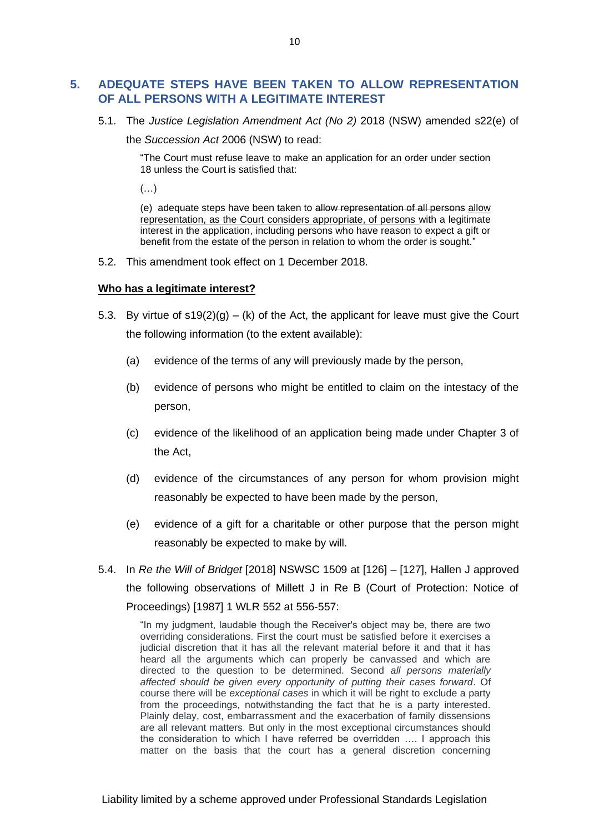## <span id="page-10-0"></span>**5. ADEQUATE STEPS HAVE BEEN TAKEN TO ALLOW REPRESENTATION OF ALL PERSONS WITH A LEGITIMATE INTEREST**

5.1. The *Justice Legislation Amendment Act (No 2)* 2018 (NSW) amended s22(e) of

the *Succession Act* 2006 (NSW) to read:

"The Court must refuse leave to make an application for an order under section 18 unless the Court is satisfied that:

 $(\ldots)$ 

(e) adequate steps have been taken to allow representation of all persons allow representation, as the Court considers appropriate, of persons with a legitimate interest in the application, including persons who have reason to expect a gift or benefit from the estate of the person in relation to whom the order is sought."

5.2. This amendment took effect on 1 December 2018.

#### **Who has a legitimate interest?**

- 5.3. By virtue of  $s19(2)(g) (k)$  of the Act, the applicant for leave must give the Court the following information (to the extent available):
	- (a) evidence of the terms of any will previously made by the person,
	- (b) evidence of persons who might be entitled to claim on the intestacy of the person,
	- (c) evidence of the likelihood of an application being made under Chapter 3 of the Act,
	- (d) evidence of the circumstances of any person for whom provision might reasonably be expected to have been made by the person,
	- (e) evidence of a gift for a charitable or other purpose that the person might reasonably be expected to make by will.
- 5.4. In *Re the Will of Bridget* [2018] NSWSC 1509 at [126] [127], Hallen J approved the following observations of Millett J in Re B (Court of Protection: Notice of Proceedings) [1987] 1 WLR 552 at 556-557:

"In my judgment, laudable though the Receiver's object may be, there are two overriding considerations. First the court must be satisfied before it exercises a judicial discretion that it has all the relevant material before it and that it has heard all the arguments which can properly be canvassed and which are directed to the question to be determined. Second *all persons materially affected should be given every opportunity of putting their cases forward*. Of course there will be *exceptional cases* in which it will be right to exclude a party from the proceedings, notwithstanding the fact that he is a party interested. Plainly delay, cost, embarrassment and the exacerbation of family dissensions are all relevant matters. But only in the most exceptional circumstances should the consideration to which I have referred be overridden …. I approach this matter on the basis that the court has a general discretion concerning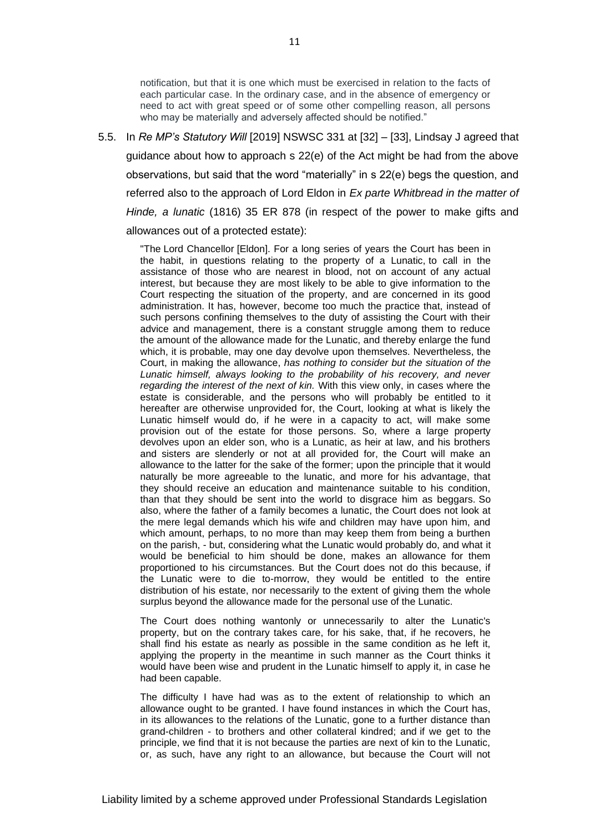notification, but that it is one which must be exercised in relation to the facts of each particular case. In the ordinary case, and in the absence of emergency or need to act with great speed or of some other compelling reason, all persons who may be materially and adversely affected should be notified."

5.5. In *Re MP's Statutory Will* [2019] NSWSC 331 at [32] – [33], Lindsay J agreed that guidance about how to approach s 22(e) of the Act might be had from the above observations, but said that the word "materially" in s 22(e) begs the question, and referred also to the approach of Lord Eldon in *Ex parte Whitbread in the matter of Hinde, a lunatic* (1816) 35 ER 878 (in respect of the power to make gifts and allowances out of a protected estate):

"The Lord Chancellor [Eldon]. For a long series of years the Court has been in the habit, in questions relating to the property of a Lunatic, to call in the assistance of those who are nearest in blood, not on account of any actual interest, but because they are most likely to be able to give information to the Court respecting the situation of the property, and are concerned in its good administration. It has, however, become too much the practice that, instead of such persons confining themselves to the duty of assisting the Court with their advice and management, there is a constant struggle among them to reduce the amount of the allowance made for the Lunatic, and thereby enlarge the fund which, it is probable, may one day devolve upon themselves. Nevertheless, the Court, in making the allowance, *has nothing to consider but the situation of the Lunatic himself, always looking to the probability of his recovery, and never regarding the interest of the next of kin.* With this view only, in cases where the estate is considerable, and the persons who will probably be entitled to it hereafter are otherwise unprovided for, the Court, looking at what is likely the Lunatic himself would do, if he were in a capacity to act, will make some provision out of the estate for those persons. So, where a large property devolves upon an elder son, who is a Lunatic, as heir at law, and his brothers and sisters are slenderly or not at all provided for, the Court will make an allowance to the latter for the sake of the former; upon the principle that it would naturally be more agreeable to the lunatic, and more for his advantage, that they should receive an education and maintenance suitable to his condition, than that they should be sent into the world to disgrace him as beggars. So also, where the father of a family becomes a lunatic, the Court does not look at the mere legal demands which his wife and children may have upon him, and which amount, perhaps, to no more than may keep them from being a burthen on the parish, - but, considering what the Lunatic would probably do, and what it would be beneficial to him should be done, makes an allowance for them proportioned to his circumstances. But the Court does not do this because, if the Lunatic were to die to-morrow, they would be entitled to the entire distribution of his estate, nor necessarily to the extent of giving them the whole surplus beyond the allowance made for the personal use of the Lunatic.

The Court does nothing wantonly or unnecessarily to alter the Lunatic's property, but on the contrary takes care, for his sake, that, if he recovers, he shall find his estate as nearly as possible in the same condition as he left it, applying the property in the meantime in such manner as the Court thinks it would have been wise and prudent in the Lunatic himself to apply it, in case he had been capable.

The difficulty I have had was as to the extent of relationship to which an allowance ought to be granted. I have found instances in which the Court has, in its allowances to the relations of the Lunatic, gone to a further distance than grand-children - to brothers and other collateral kindred; and if we get to the principle, we find that it is not because the parties are next of kin to the Lunatic, or, as such, have any right to an allowance, but because the Court will not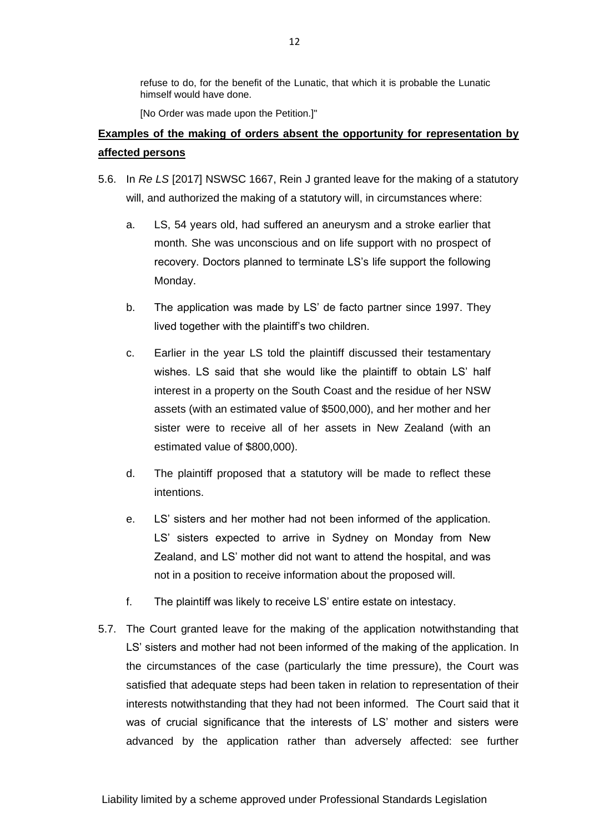refuse to do, for the benefit of the Lunatic, that which it is probable the Lunatic himself would have done.

[No Order was made upon the Petition.]"

## **Examples of the making of orders absent the opportunity for representation by affected persons**

- 5.6. In *Re LS* [2017] NSWSC 1667, Rein J granted leave for the making of a statutory will, and authorized the making of a statutory will, in circumstances where:
	- a. LS, 54 years old, had suffered an aneurysm and a stroke earlier that month. She was unconscious and on life support with no prospect of recovery. Doctors planned to terminate LS's life support the following Monday.
	- b. The application was made by LS' de facto partner since 1997. They lived together with the plaintiff's two children.
	- c. Earlier in the year LS told the plaintiff discussed their testamentary wishes. LS said that she would like the plaintiff to obtain LS' half interest in a property on the South Coast and the residue of her NSW assets (with an estimated value of \$500,000), and her mother and her sister were to receive all of her assets in New Zealand (with an estimated value of \$800,000).
	- d. The plaintiff proposed that a statutory will be made to reflect these intentions.
	- e. LS' sisters and her mother had not been informed of the application. LS' sisters expected to arrive in Sydney on Monday from New Zealand, and LS' mother did not want to attend the hospital, and was not in a position to receive information about the proposed will.
	- f. The plaintiff was likely to receive LS' entire estate on intestacy.
- 5.7. The Court granted leave for the making of the application notwithstanding that LS' sisters and mother had not been informed of the making of the application. In the circumstances of the case (particularly the time pressure), the Court was satisfied that adequate steps had been taken in relation to representation of their interests notwithstanding that they had not been informed. The Court said that it was of crucial significance that the interests of LS' mother and sisters were advanced by the application rather than adversely affected: see further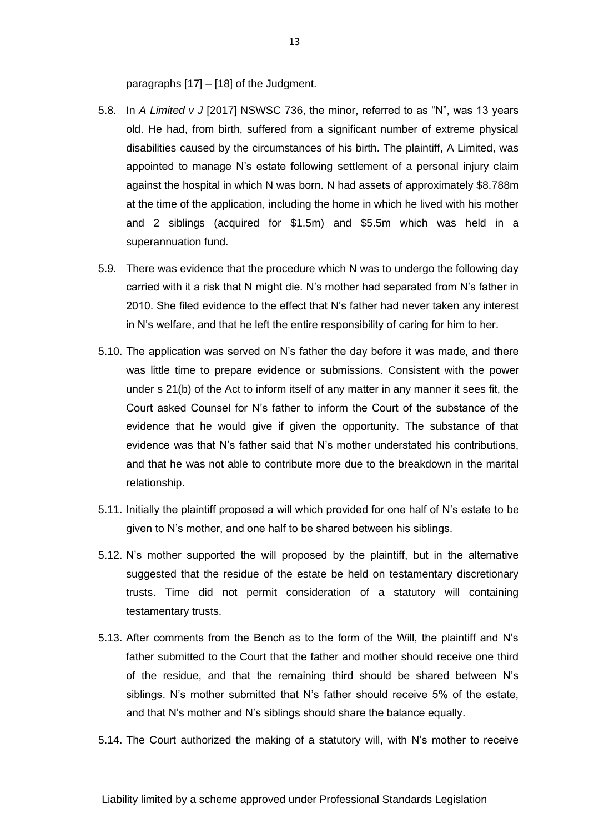paragraphs [17] – [18] of the Judgment.

- 5.8. In *A Limited v J* [2017] NSWSC 736, the minor, referred to as "N", was 13 years old. He had, from birth, suffered from a significant number of extreme physical disabilities caused by the circumstances of his birth. The plaintiff, A Limited, was appointed to manage N's estate following settlement of a personal injury claim against the hospital in which N was born. N had assets of approximately \$8.788m at the time of the application, including the home in which he lived with his mother and 2 siblings (acquired for \$1.5m) and \$5.5m which was held in a superannuation fund.
- 5.9. There was evidence that the procedure which N was to undergo the following day carried with it a risk that N might die. N's mother had separated from N's father in 2010. She filed evidence to the effect that N's father had never taken any interest in N's welfare, and that he left the entire responsibility of caring for him to her.
- 5.10. The application was served on N's father the day before it was made, and there was little time to prepare evidence or submissions. Consistent with the power under s 21(b) of the Act to inform itself of any matter in any manner it sees fit, the Court asked Counsel for N's father to inform the Court of the substance of the evidence that he would give if given the opportunity. The substance of that evidence was that N's father said that N's mother understated his contributions, and that he was not able to contribute more due to the breakdown in the marital relationship.
- 5.11. Initially the plaintiff proposed a will which provided for one half of N's estate to be given to N's mother, and one half to be shared between his siblings.
- 5.12. N's mother supported the will proposed by the plaintiff, but in the alternative suggested that the residue of the estate be held on testamentary discretionary trusts. Time did not permit consideration of a statutory will containing testamentary trusts.
- 5.13. After comments from the Bench as to the form of the Will, the plaintiff and N's father submitted to the Court that the father and mother should receive one third of the residue, and that the remaining third should be shared between N's siblings. N's mother submitted that N's father should receive 5% of the estate, and that N's mother and N's siblings should share the balance equally.
- 5.14. The Court authorized the making of a statutory will, with N's mother to receive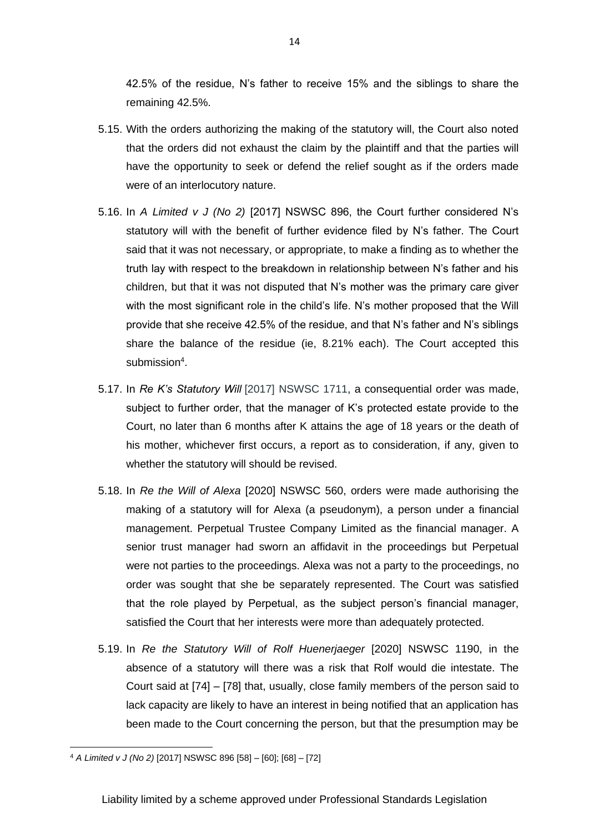42.5% of the residue, N's father to receive 15% and the siblings to share the remaining 42.5%.

- 5.15. With the orders authorizing the making of the statutory will, the Court also noted that the orders did not exhaust the claim by the plaintiff and that the parties will have the opportunity to seek or defend the relief sought as if the orders made were of an interlocutory nature.
- 5.16. In *A Limited v J (No 2)* [2017] NSWSC 896, the Court further considered N's statutory will with the benefit of further evidence filed by N's father. The Court said that it was not necessary, or appropriate, to make a finding as to whether the truth lay with respect to the breakdown in relationship between N's father and his children, but that it was not disputed that N's mother was the primary care giver with the most significant role in the child's life. N's mother proposed that the Will provide that she receive 42.5% of the residue, and that N's father and N's siblings share the balance of the residue (ie, 8.21% each). The Court accepted this submission<sup>4</sup>.
- 5.17. In *Re K's Statutory Will* [2017] NSWSC 1711, a consequential order was made, subject to further order, that the manager of K's protected estate provide to the Court, no later than 6 months after K attains the age of 18 years or the death of his mother, whichever first occurs, a report as to consideration, if any, given to whether the statutory will should be revised.
- 5.18. In *Re the Will of Alexa* [2020] NSWSC 560, orders were made authorising the making of a statutory will for Alexa (a pseudonym), a person under a financial management. Perpetual Trustee Company Limited as the financial manager. A senior trust manager had sworn an affidavit in the proceedings but Perpetual were not parties to the proceedings. Alexa was not a party to the proceedings, no order was sought that she be separately represented. The Court was satisfied that the role played by Perpetual, as the subject person's financial manager, satisfied the Court that her interests were more than adequately protected.
- 5.19. In *Re the Statutory Will of Rolf Huenerjaeger* [2020] NSWSC 1190, in the absence of a statutory will there was a risk that Rolf would die intestate. The Court said at [74] – [78] that, usually, close family members of the person said to lack capacity are likely to have an interest in being notified that an application has been made to the Court concerning the person, but that the presumption may be

<sup>4</sup> *A Limited v J (No 2)* [2017] NSWSC 896 [58] – [60]; [68] – [72]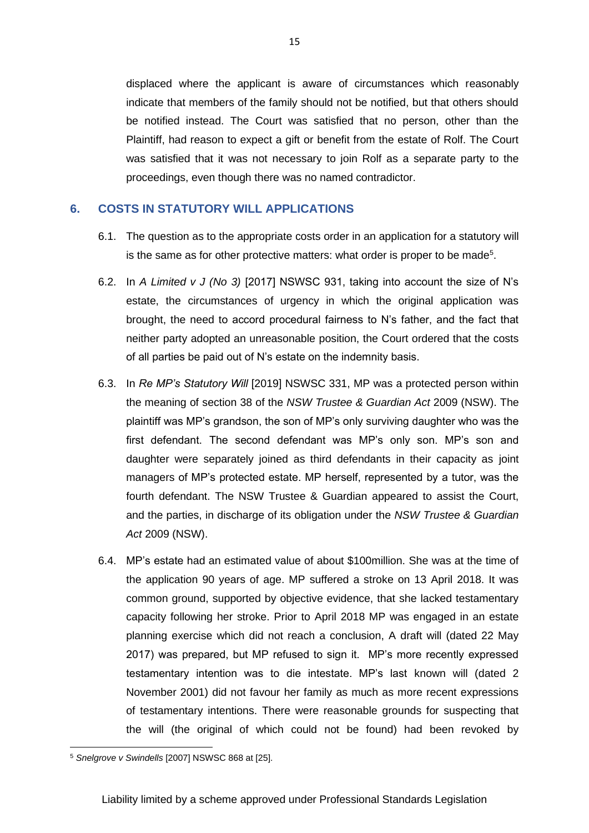displaced where the applicant is aware of circumstances which reasonably indicate that members of the family should not be notified, but that others should be notified instead. The Court was satisfied that no person, other than the Plaintiff, had reason to expect a gift or benefit from the estate of Rolf. The Court was satisfied that it was not necessary to join Rolf as a separate party to the proceedings, even though there was no named contradictor.

### <span id="page-15-0"></span>**6. COSTS IN STATUTORY WILL APPLICATIONS**

- 6.1. The question as to the appropriate costs order in an application for a statutory will is the same as for other protective matters: what order is proper to be made<sup>5</sup>.
- 6.2. In *A Limited v J (No 3)* [2017] NSWSC 931, taking into account the size of N's estate, the circumstances of urgency in which the original application was brought, the need to accord procedural fairness to N's father, and the fact that neither party adopted an unreasonable position, the Court ordered that the costs of all parties be paid out of N's estate on the indemnity basis.
- 6.3. In *Re MP's Statutory Will* [2019] NSWSC 331, MP was a protected person within the meaning of section 38 of the *NSW Trustee & Guardian Act* 2009 (NSW). The plaintiff was MP's grandson, the son of MP's only surviving daughter who was the first defendant. The second defendant was MP's only son. MP's son and daughter were separately joined as third defendants in their capacity as joint managers of MP's protected estate. MP herself, represented by a tutor, was the fourth defendant. The NSW Trustee & Guardian appeared to assist the Court, and the parties, in discharge of its obligation under the *NSW Trustee & Guardian Act* 2009 (NSW).
- 6.4. MP's estate had an estimated value of about \$100million. She was at the time of the application 90 years of age. MP suffered a stroke on 13 April 2018. It was common ground, supported by objective evidence, that she lacked testamentary capacity following her stroke. Prior to April 2018 MP was engaged in an estate planning exercise which did not reach a conclusion, A draft will (dated 22 May 2017) was prepared, but MP refused to sign it. MP's more recently expressed testamentary intention was to die intestate. MP's last known will (dated 2 November 2001) did not favour her family as much as more recent expressions of testamentary intentions. There were reasonable grounds for suspecting that the will (the original of which could not be found) had been revoked by

<sup>5</sup> *Snelgrove v Swindells* [2007] NSWSC 868 at [25].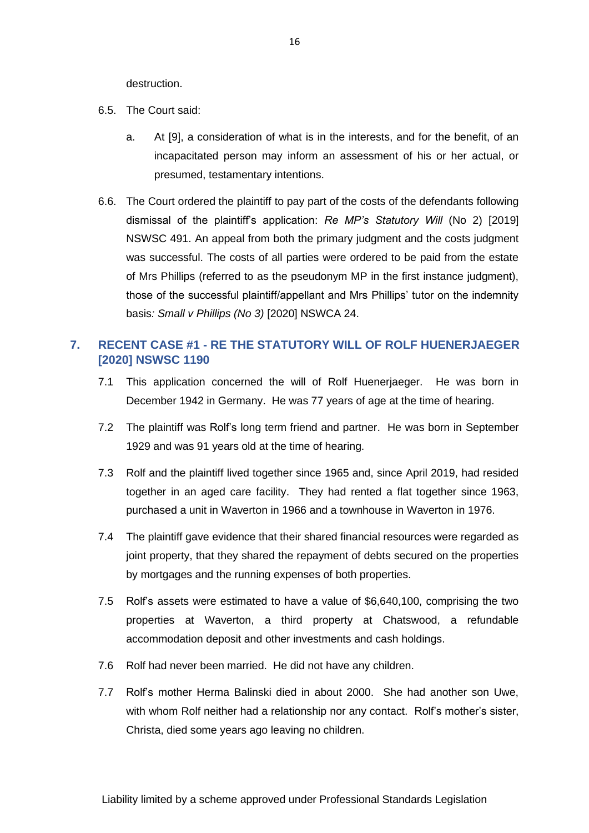destruction.

- 6.5. The Court said:
	- a. At [9], a consideration of what is in the interests, and for the benefit, of an incapacitated person may inform an assessment of his or her actual, or presumed, testamentary intentions.
- 6.6. The Court ordered the plaintiff to pay part of the costs of the defendants following dismissal of the plaintiff's application: *Re MP's Statutory Will* (No 2) [2019] NSWSC 491. An appeal from both the primary judgment and the costs judgment was successful. The costs of all parties were ordered to be paid from the estate of Mrs Phillips (referred to as the pseudonym MP in the first instance judgment), those of the successful plaintiff/appellant and Mrs Phillips' tutor on the indemnity basis*: Small v Phillips (No 3)* [2020] NSWCA 24.

## <span id="page-16-0"></span>**7. RECENT CASE #1 - RE THE STATUTORY WILL OF ROLF HUENERJAEGER [2020] NSWSC 1190**

- 7.1 This application concerned the will of Rolf Huenerjaeger. He was born in December 1942 in Germany. He was 77 years of age at the time of hearing.
- 7.2 The plaintiff was Rolf's long term friend and partner. He was born in September 1929 and was 91 years old at the time of hearing.
- 7.3 Rolf and the plaintiff lived together since 1965 and, since April 2019, had resided together in an aged care facility. They had rented a flat together since 1963, purchased a unit in Waverton in 1966 and a townhouse in Waverton in 1976.
- 7.4 The plaintiff gave evidence that their shared financial resources were regarded as joint property, that they shared the repayment of debts secured on the properties by mortgages and the running expenses of both properties.
- 7.5 Rolf's assets were estimated to have a value of \$6,640,100, comprising the two properties at Waverton, a third property at Chatswood, a refundable accommodation deposit and other investments and cash holdings.
- 7.6 Rolf had never been married. He did not have any children.
- 7.7 Rolf's mother Herma Balinski died in about 2000. She had another son Uwe, with whom Rolf neither had a relationship nor any contact. Rolf's mother's sister, Christa, died some years ago leaving no children.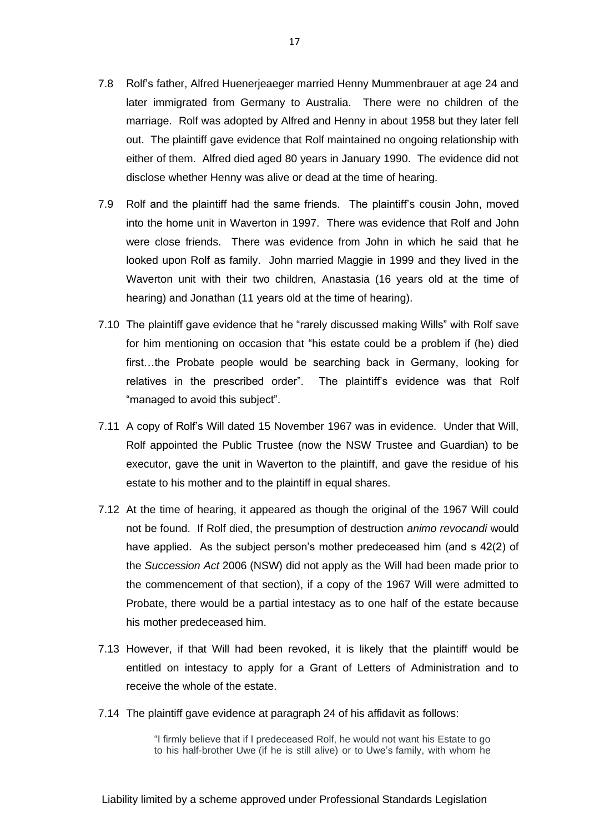- 7.8 Rolf's father, Alfred Huenerjeaeger married Henny Mummenbrauer at age 24 and later immigrated from Germany to Australia. There were no children of the marriage. Rolf was adopted by Alfred and Henny in about 1958 but they later fell out. The plaintiff gave evidence that Rolf maintained no ongoing relationship with either of them. Alfred died aged 80 years in January 1990. The evidence did not disclose whether Henny was alive or dead at the time of hearing.
- 7.9 Rolf and the plaintiff had the same friends. The plaintiff's cousin John, moved into the home unit in Waverton in 1997. There was evidence that Rolf and John were close friends. There was evidence from John in which he said that he looked upon Rolf as family. John married Maggie in 1999 and they lived in the Waverton unit with their two children, Anastasia (16 years old at the time of hearing) and Jonathan (11 years old at the time of hearing).
- 7.10 The plaintiff gave evidence that he "rarely discussed making Wills" with Rolf save for him mentioning on occasion that "his estate could be a problem if (he) died first…the Probate people would be searching back in Germany, looking for relatives in the prescribed order". The plaintiff's evidence was that Rolf "managed to avoid this subject".
- 7.11 A copy of Rolf's Will dated 15 November 1967 was in evidence. Under that Will, Rolf appointed the Public Trustee (now the NSW Trustee and Guardian) to be executor, gave the unit in Waverton to the plaintiff, and gave the residue of his estate to his mother and to the plaintiff in equal shares.
- 7.12 At the time of hearing, it appeared as though the original of the 1967 Will could not be found. If Rolf died, the presumption of destruction *animo revocandi* would have applied. As the subject person's mother predeceased him (and s 42(2) of the *Succession Act* 2006 (NSW) did not apply as the Will had been made prior to the commencement of that section), if a copy of the 1967 Will were admitted to Probate, there would be a partial intestacy as to one half of the estate because his mother predeceased him.
- 7.13 However, if that Will had been revoked, it is likely that the plaintiff would be entitled on intestacy to apply for a Grant of Letters of Administration and to receive the whole of the estate.
- 7.14 The plaintiff gave evidence at paragraph 24 of his affidavit as follows:

"I firmly believe that if I predeceased Rolf, he would not want his Estate to go to his half-brother Uwe (if he is still alive) or to Uwe's family, with whom he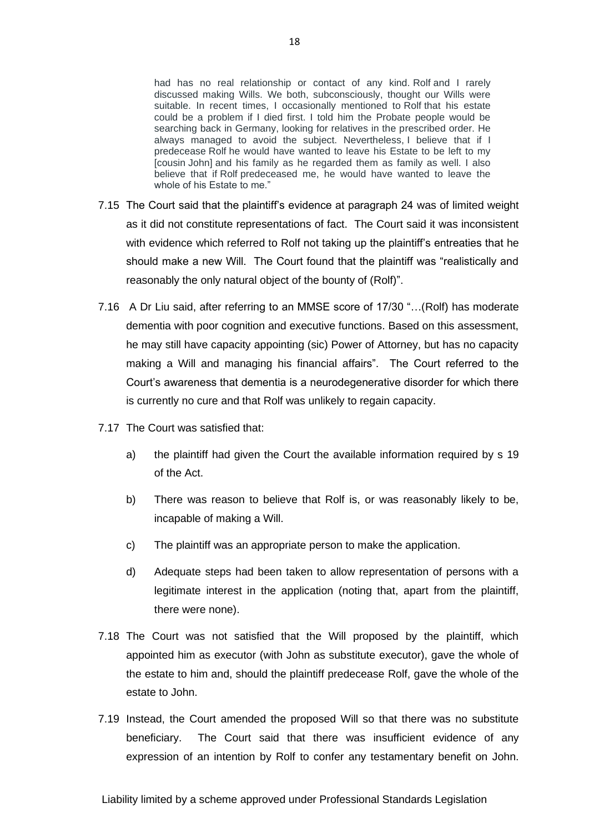had has no real relationship or contact of any kind. Rolf and I rarely discussed making Wills. We both, subconsciously, thought our Wills were suitable. In recent times, I occasionally mentioned to Rolf that his estate could be a problem if I died first. I told him the Probate people would be searching back in Germany, looking for relatives in the prescribed order. He always managed to avoid the subject. Nevertheless, I believe that if I predecease Rolf he would have wanted to leave his Estate to be left to my [cousin John] and his family as he regarded them as family as well. I also believe that if Rolf predeceased me, he would have wanted to leave the whole of his Estate to me."

- 7.15 The Court said that the plaintiff's evidence at paragraph 24 was of limited weight as it did not constitute representations of fact. The Court said it was inconsistent with evidence which referred to Rolf not taking up the plaintiff's entreaties that he should make a new Will. The Court found that the plaintiff was "realistically and reasonably the only natural object of the bounty of (Rolf)".
- 7.16 A Dr Liu said, after referring to an MMSE score of 17/30 "…(Rolf) has moderate dementia with poor cognition and executive functions. Based on this assessment, he may still have capacity appointing (sic) Power of Attorney, but has no capacity making a Will and managing his financial affairs". The Court referred to the Court's awareness that dementia is a neurodegenerative disorder for which there is currently no cure and that Rolf was unlikely to regain capacity.
- 7.17 The Court was satisfied that:
	- a) the plaintiff had given the Court the available information required by s 19 of the Act.
	- b) There was reason to believe that Rolf is, or was reasonably likely to be, incapable of making a Will.
	- c) The plaintiff was an appropriate person to make the application.
	- d) Adequate steps had been taken to allow representation of persons with a legitimate interest in the application (noting that, apart from the plaintiff, there were none).
- 7.18 The Court was not satisfied that the Will proposed by the plaintiff, which appointed him as executor (with John as substitute executor), gave the whole of the estate to him and, should the plaintiff predecease Rolf, gave the whole of the estate to John.
- 7.19 Instead, the Court amended the proposed Will so that there was no substitute beneficiary. The Court said that there was insufficient evidence of any expression of an intention by Rolf to confer any testamentary benefit on John.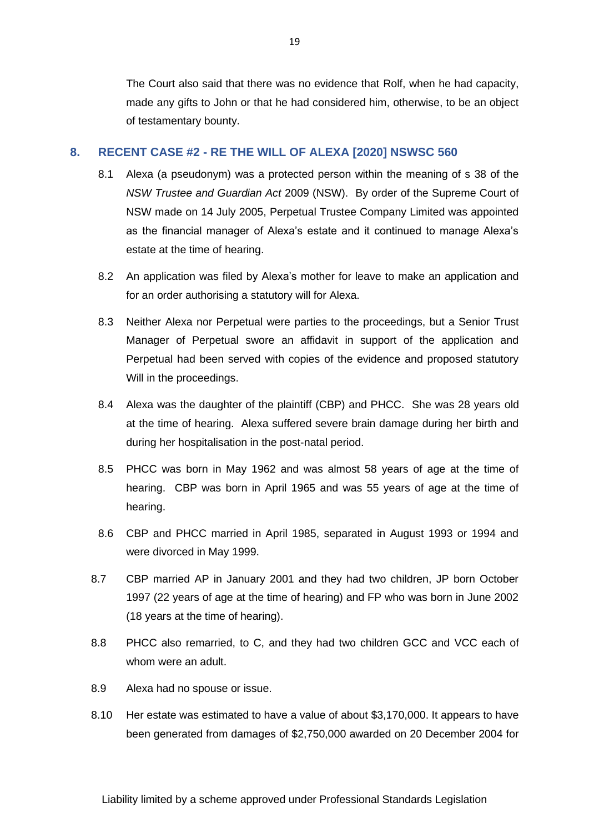The Court also said that there was no evidence that Rolf, when he had capacity, made any gifts to John or that he had considered him, otherwise, to be an object of testamentary bounty.

#### <span id="page-19-0"></span>**8. RECENT CASE #2 - RE THE WILL OF ALEXA [2020] NSWSC 560**

- 8.1 Alexa (a pseudonym) was a protected person within the meaning of s 38 of the *NSW Trustee and Guardian Act* 2009 (NSW). By order of the Supreme Court of NSW made on 14 July 2005, Perpetual Trustee Company Limited was appointed as the financial manager of Alexa's estate and it continued to manage Alexa's estate at the time of hearing.
- 8.2 An application was filed by Alexa's mother for leave to make an application and for an order authorising a statutory will for Alexa.
- 8.3 Neither Alexa nor Perpetual were parties to the proceedings, but a Senior Trust Manager of Perpetual swore an affidavit in support of the application and Perpetual had been served with copies of the evidence and proposed statutory Will in the proceedings.
- 8.4 Alexa was the daughter of the plaintiff (CBP) and PHCC. She was 28 years old at the time of hearing. Alexa suffered severe brain damage during her birth and during her hospitalisation in the post-natal period.
- 8.5 PHCC was born in May 1962 and was almost 58 years of age at the time of hearing. CBP was born in April 1965 and was 55 years of age at the time of hearing.
- 8.6 CBP and PHCC married in April 1985, separated in August 1993 or 1994 and were divorced in May 1999.
- 8.7 CBP married AP in January 2001 and they had two children, JP born October 1997 (22 years of age at the time of hearing) and FP who was born in June 2002 (18 years at the time of hearing).
- 8.8 PHCC also remarried, to C, and they had two children GCC and VCC each of whom were an adult.
- 8.9 Alexa had no spouse or issue.
- 8.10 Her estate was estimated to have a value of about \$3,170,000. It appears to have been generated from damages of \$2,750,000 awarded on 20 December 2004 for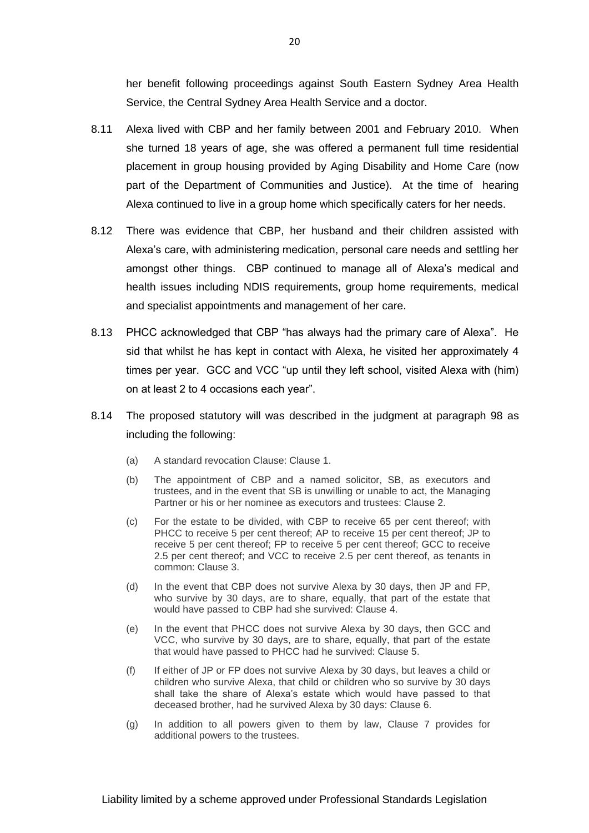her benefit following proceedings against South Eastern Sydney Area Health Service, the Central Sydney Area Health Service and a doctor.

- 8.11 Alexa lived with CBP and her family between 2001 and February 2010. When she turned 18 years of age, she was offered a permanent full time residential placement in group housing provided by Aging Disability and Home Care (now part of the Department of Communities and Justice). At the time of hearing Alexa continued to live in a group home which specifically caters for her needs.
- 8.12 There was evidence that CBP, her husband and their children assisted with Alexa's care, with administering medication, personal care needs and settling her amongst other things. CBP continued to manage all of Alexa's medical and health issues including NDIS requirements, group home requirements, medical and specialist appointments and management of her care.
- 8.13 PHCC acknowledged that CBP "has always had the primary care of Alexa". He sid that whilst he has kept in contact with Alexa, he visited her approximately 4 times per year. GCC and VCC "up until they left school, visited Alexa with (him) on at least 2 to 4 occasions each year".
- 8.14 The proposed statutory will was described in the judgment at paragraph 98 as including the following:
	- (a) A standard revocation Clause: Clause 1.
	- (b) The appointment of CBP and a named solicitor, SB, as executors and trustees, and in the event that SB is unwilling or unable to act, the Managing Partner or his or her nominee as executors and trustees: Clause 2.
	- (c) For the estate to be divided, with CBP to receive 65 per cent thereof; with PHCC to receive 5 per cent thereof; AP to receive 15 per cent thereof; JP to receive 5 per cent thereof; FP to receive 5 per cent thereof; GCC to receive 2.5 per cent thereof; and VCC to receive 2.5 per cent thereof, as tenants in common: Clause 3.
	- (d) In the event that CBP does not survive Alexa by 30 days, then JP and FP, who survive by 30 days, are to share, equally, that part of the estate that would have passed to CBP had she survived: Clause 4.
	- (e) In the event that PHCC does not survive Alexa by 30 days, then GCC and VCC, who survive by 30 days, are to share, equally, that part of the estate that would have passed to PHCC had he survived: Clause 5.
	- (f) If either of JP or FP does not survive Alexa by 30 days, but leaves a child or children who survive Alexa, that child or children who so survive by 30 days shall take the share of Alexa's estate which would have passed to that deceased brother, had he survived Alexa by 30 days: Clause 6.
	- (g) In addition to all powers given to them by law, Clause 7 provides for additional powers to the trustees.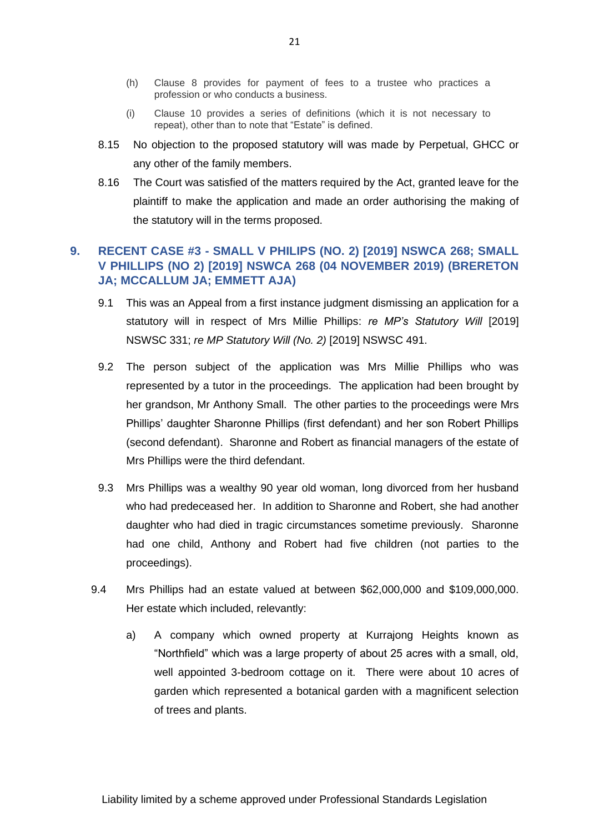- (h) Clause 8 provides for payment of fees to a trustee who practices a profession or who conducts a business.
- (i) Clause 10 provides a series of definitions (which it is not necessary to repeat), other than to note that "Estate" is defined.
- 8.15 No objection to the proposed statutory will was made by Perpetual, GHCC or any other of the family members.
- 8.16 The Court was satisfied of the matters required by the Act, granted leave for the plaintiff to make the application and made an order authorising the making of the statutory will in the terms proposed.

## <span id="page-21-0"></span>**9. RECENT CASE #3 - SMALL V PHILIPS (NO. 2) [2019] NSWCA 268; SMALL V PHILLIPS (NO 2) [2019] NSWCA 268 (04 NOVEMBER 2019) (BRERETON JA; MCCALLUM JA; EMMETT AJA)**

- 9.1 This was an Appeal from a first instance judgment dismissing an application for a statutory will in respect of Mrs Millie Phillips: *re MP's Statutory Will* [2019] NSWSC 331; *re MP Statutory Will (No. 2)* [2019] NSWSC 491.
- 9.2 The person subject of the application was Mrs Millie Phillips who was represented by a tutor in the proceedings. The application had been brought by her grandson, Mr Anthony Small. The other parties to the proceedings were Mrs Phillips' daughter Sharonne Phillips (first defendant) and her son Robert Phillips (second defendant). Sharonne and Robert as financial managers of the estate of Mrs Phillips were the third defendant.
- 9.3 Mrs Phillips was a wealthy 90 year old woman, long divorced from her husband who had predeceased her. In addition to Sharonne and Robert, she had another daughter who had died in tragic circumstances sometime previously. Sharonne had one child, Anthony and Robert had five children (not parties to the proceedings).
- 9.4 Mrs Phillips had an estate valued at between \$62,000,000 and \$109,000,000. Her estate which included, relevantly:
	- a) A company which owned property at Kurrajong Heights known as "Northfield" which was a large property of about 25 acres with a small, old, well appointed 3-bedroom cottage on it. There were about 10 acres of garden which represented a botanical garden with a magnificent selection of trees and plants.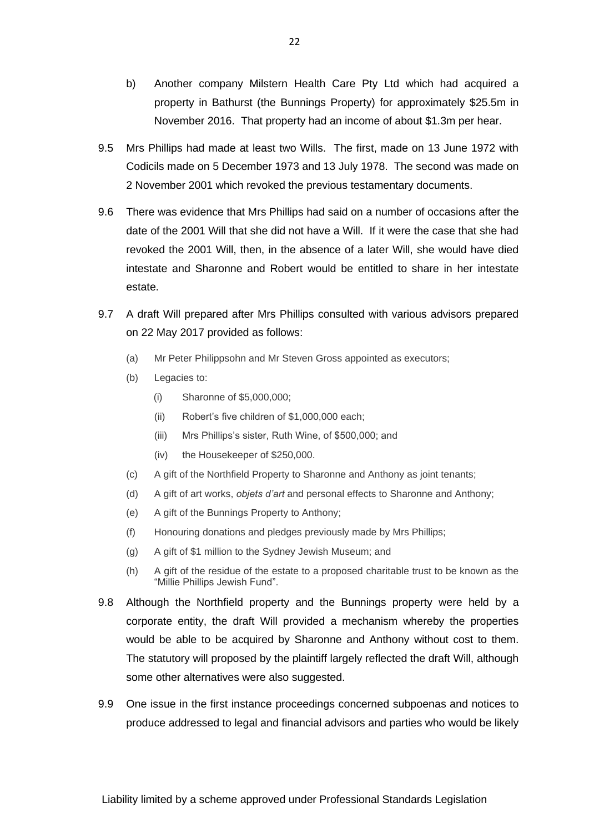- b) Another company Milstern Health Care Pty Ltd which had acquired a property in Bathurst (the Bunnings Property) for approximately \$25.5m in November 2016. That property had an income of about \$1.3m per hear.
- 9.5 Mrs Phillips had made at least two Wills. The first, made on 13 June 1972 with Codicils made on 5 December 1973 and 13 July 1978. The second was made on 2 November 2001 which revoked the previous testamentary documents.
- 9.6 There was evidence that Mrs Phillips had said on a number of occasions after the date of the 2001 Will that she did not have a Will. If it were the case that she had revoked the 2001 Will, then, in the absence of a later Will, she would have died intestate and Sharonne and Robert would be entitled to share in her intestate estate.
- 9.7 A draft Will prepared after Mrs Phillips consulted with various advisors prepared on 22 May 2017 provided as follows:
	- (a) Mr Peter Philippsohn and Mr Steven Gross appointed as executors;
	- (b) Legacies to:
		- (i) Sharonne of \$5,000,000;
		- (ii) Robert's five children of \$1,000,000 each;
		- (iii) Mrs Phillips's sister, Ruth Wine, of \$500,000; and
		- (iv) the Housekeeper of \$250,000.
	- (c) A gift of the Northfield Property to Sharonne and Anthony as joint tenants;
	- (d) A gift of art works, *objets d'art* and personal effects to Sharonne and Anthony;
	- (e) A gift of the Bunnings Property to Anthony;
	- (f) Honouring donations and pledges previously made by Mrs Phillips;
	- (g) A gift of \$1 million to the Sydney Jewish Museum; and
	- (h) A gift of the residue of the estate to a proposed charitable trust to be known as the "Millie Phillips Jewish Fund".
- 9.8 Although the Northfield property and the Bunnings property were held by a corporate entity, the draft Will provided a mechanism whereby the properties would be able to be acquired by Sharonne and Anthony without cost to them. The statutory will proposed by the plaintiff largely reflected the draft Will, although some other alternatives were also suggested.
- 9.9 One issue in the first instance proceedings concerned subpoenas and notices to produce addressed to legal and financial advisors and parties who would be likely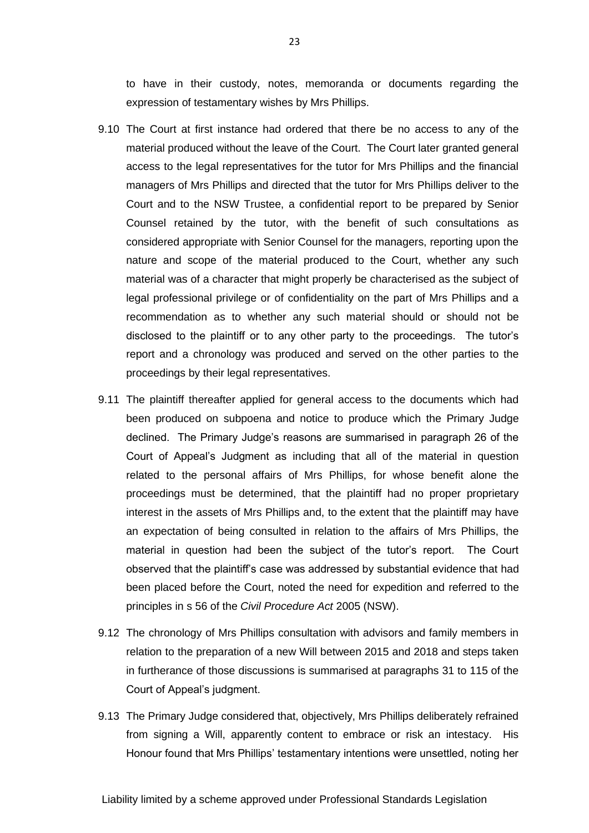to have in their custody, notes, memoranda or documents regarding the expression of testamentary wishes by Mrs Phillips.

- 9.10 The Court at first instance had ordered that there be no access to any of the material produced without the leave of the Court. The Court later granted general access to the legal representatives for the tutor for Mrs Phillips and the financial managers of Mrs Phillips and directed that the tutor for Mrs Phillips deliver to the Court and to the NSW Trustee, a confidential report to be prepared by Senior Counsel retained by the tutor, with the benefit of such consultations as considered appropriate with Senior Counsel for the managers, reporting upon the nature and scope of the material produced to the Court, whether any such material was of a character that might properly be characterised as the subject of legal professional privilege or of confidentiality on the part of Mrs Phillips and a recommendation as to whether any such material should or should not be disclosed to the plaintiff or to any other party to the proceedings. The tutor's report and a chronology was produced and served on the other parties to the proceedings by their legal representatives.
- 9.11 The plaintiff thereafter applied for general access to the documents which had been produced on subpoena and notice to produce which the Primary Judge declined. The Primary Judge's reasons are summarised in paragraph 26 of the Court of Appeal's Judgment as including that all of the material in question related to the personal affairs of Mrs Phillips, for whose benefit alone the proceedings must be determined, that the plaintiff had no proper proprietary interest in the assets of Mrs Phillips and, to the extent that the plaintiff may have an expectation of being consulted in relation to the affairs of Mrs Phillips, the material in question had been the subject of the tutor's report. The Court observed that the plaintiff's case was addressed by substantial evidence that had been placed before the Court, noted the need for expedition and referred to the principles in s 56 of the *Civil Procedure Act* 2005 (NSW).
- 9.12 The chronology of Mrs Phillips consultation with advisors and family members in relation to the preparation of a new Will between 2015 and 2018 and steps taken in furtherance of those discussions is summarised at paragraphs 31 to 115 of the Court of Appeal's judgment.
- 9.13 The Primary Judge considered that, objectively, Mrs Phillips deliberately refrained from signing a Will, apparently content to embrace or risk an intestacy. His Honour found that Mrs Phillips' testamentary intentions were unsettled, noting her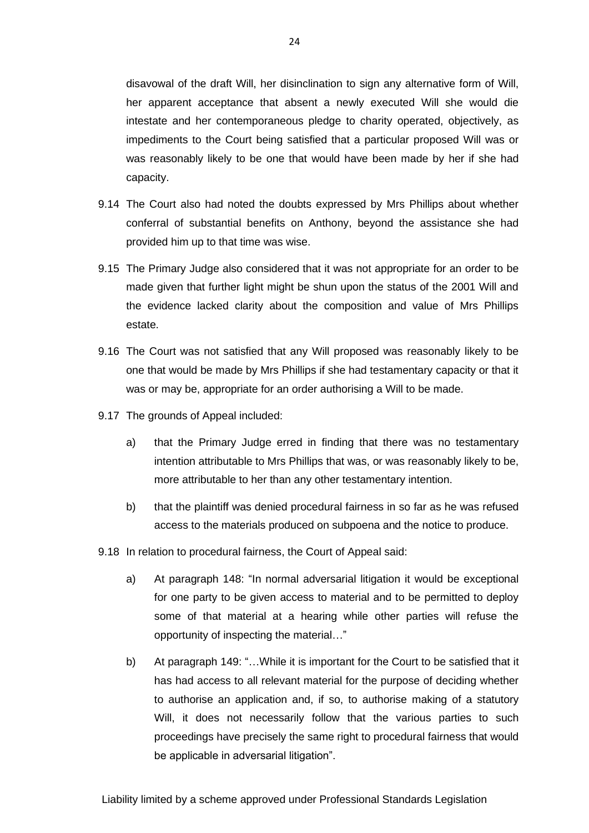disavowal of the draft Will, her disinclination to sign any alternative form of Will, her apparent acceptance that absent a newly executed Will she would die intestate and her contemporaneous pledge to charity operated, objectively, as impediments to the Court being satisfied that a particular proposed Will was or was reasonably likely to be one that would have been made by her if she had capacity.

- 9.14 The Court also had noted the doubts expressed by Mrs Phillips about whether conferral of substantial benefits on Anthony, beyond the assistance she had provided him up to that time was wise.
- 9.15 The Primary Judge also considered that it was not appropriate for an order to be made given that further light might be shun upon the status of the 2001 Will and the evidence lacked clarity about the composition and value of Mrs Phillips estate.
- 9.16 The Court was not satisfied that any Will proposed was reasonably likely to be one that would be made by Mrs Phillips if she had testamentary capacity or that it was or may be, appropriate for an order authorising a Will to be made.
- 9.17 The grounds of Appeal included:
	- a) that the Primary Judge erred in finding that there was no testamentary intention attributable to Mrs Phillips that was, or was reasonably likely to be, more attributable to her than any other testamentary intention.
	- b) that the plaintiff was denied procedural fairness in so far as he was refused access to the materials produced on subpoena and the notice to produce.
- 9.18 In relation to procedural fairness, the Court of Appeal said:
	- a) At paragraph 148: "In normal adversarial litigation it would be exceptional for one party to be given access to material and to be permitted to deploy some of that material at a hearing while other parties will refuse the opportunity of inspecting the material…"
	- b) At paragraph 149: "…While it is important for the Court to be satisfied that it has had access to all relevant material for the purpose of deciding whether to authorise an application and, if so, to authorise making of a statutory Will, it does not necessarily follow that the various parties to such proceedings have precisely the same right to procedural fairness that would be applicable in adversarial litigation".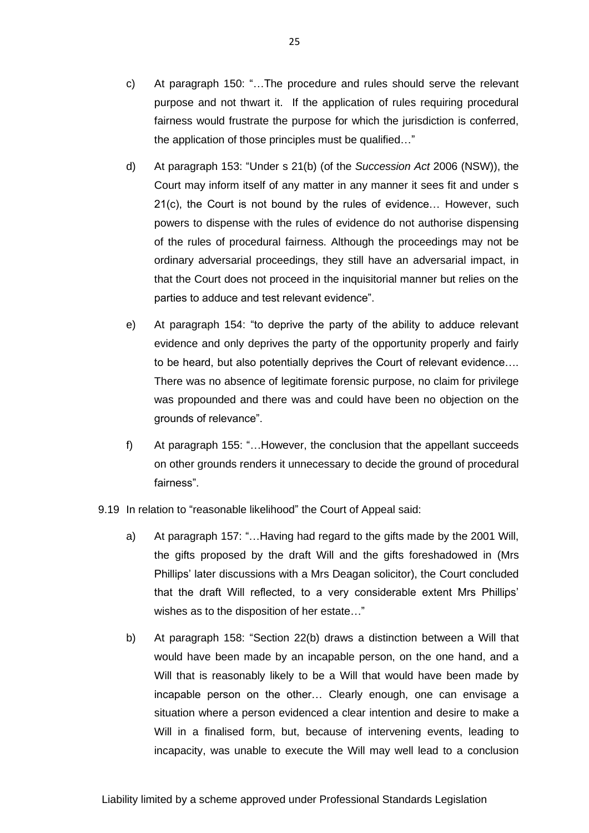- c) At paragraph 150: "…The procedure and rules should serve the relevant purpose and not thwart it. If the application of rules requiring procedural fairness would frustrate the purpose for which the jurisdiction is conferred, the application of those principles must be qualified…"
- d) At paragraph 153: "Under s 21(b) (of the *Succession Act* 2006 (NSW)), the Court may inform itself of any matter in any manner it sees fit and under s 21(c), the Court is not bound by the rules of evidence… However, such powers to dispense with the rules of evidence do not authorise dispensing of the rules of procedural fairness. Although the proceedings may not be ordinary adversarial proceedings, they still have an adversarial impact, in that the Court does not proceed in the inquisitorial manner but relies on the parties to adduce and test relevant evidence".
- e) At paragraph 154: "to deprive the party of the ability to adduce relevant evidence and only deprives the party of the opportunity properly and fairly to be heard, but also potentially deprives the Court of relevant evidence…. There was no absence of legitimate forensic purpose, no claim for privilege was propounded and there was and could have been no objection on the grounds of relevance".
- f) At paragraph 155: "…However, the conclusion that the appellant succeeds on other grounds renders it unnecessary to decide the ground of procedural fairness".
- 9.19 In relation to "reasonable likelihood" the Court of Appeal said:
	- a) At paragraph 157: "…Having had regard to the gifts made by the 2001 Will, the gifts proposed by the draft Will and the gifts foreshadowed in (Mrs Phillips' later discussions with a Mrs Deagan solicitor), the Court concluded that the draft Will reflected, to a very considerable extent Mrs Phillips' wishes as to the disposition of her estate…"
	- b) At paragraph 158: "Section 22(b) draws a distinction between a Will that would have been made by an incapable person, on the one hand, and a Will that is reasonably likely to be a Will that would have been made by incapable person on the other… Clearly enough, one can envisage a situation where a person evidenced a clear intention and desire to make a Will in a finalised form, but, because of intervening events, leading to incapacity, was unable to execute the Will may well lead to a conclusion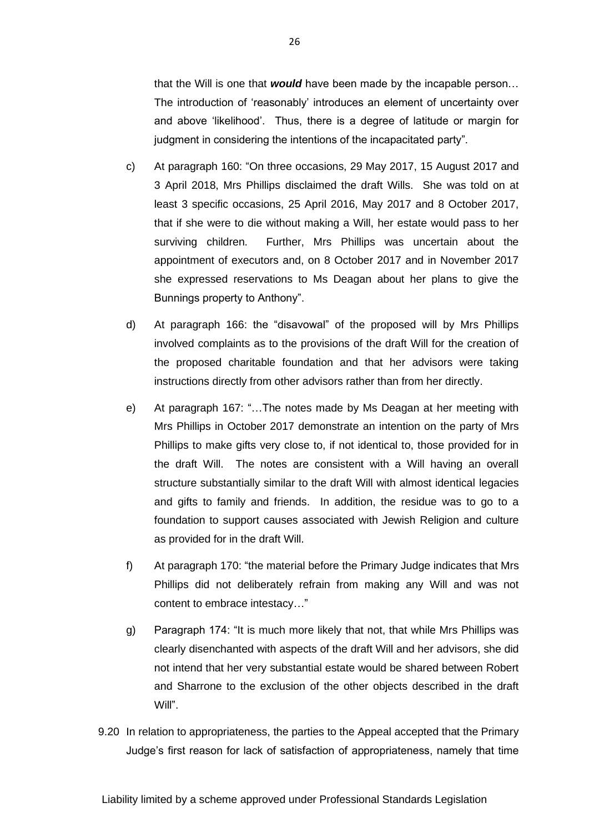that the Will is one that *would* have been made by the incapable person… The introduction of 'reasonably' introduces an element of uncertainty over and above 'likelihood'. Thus, there is a degree of latitude or margin for judgment in considering the intentions of the incapacitated party".

- c) At paragraph 160: "On three occasions, 29 May 2017, 15 August 2017 and 3 April 2018, Mrs Phillips disclaimed the draft Wills. She was told on at least 3 specific occasions, 25 April 2016, May 2017 and 8 October 2017, that if she were to die without making a Will, her estate would pass to her surviving children. Further, Mrs Phillips was uncertain about the appointment of executors and, on 8 October 2017 and in November 2017 she expressed reservations to Ms Deagan about her plans to give the Bunnings property to Anthony".
- d) At paragraph 166: the "disavowal" of the proposed will by Mrs Phillips involved complaints as to the provisions of the draft Will for the creation of the proposed charitable foundation and that her advisors were taking instructions directly from other advisors rather than from her directly.
- e) At paragraph 167: "…The notes made by Ms Deagan at her meeting with Mrs Phillips in October 2017 demonstrate an intention on the party of Mrs Phillips to make gifts very close to, if not identical to, those provided for in the draft Will. The notes are consistent with a Will having an overall structure substantially similar to the draft Will with almost identical legacies and gifts to family and friends. In addition, the residue was to go to a foundation to support causes associated with Jewish Religion and culture as provided for in the draft Will.
- f) At paragraph 170: "the material before the Primary Judge indicates that Mrs Phillips did not deliberately refrain from making any Will and was not content to embrace intestacy…"
- g) Paragraph 174: "It is much more likely that not, that while Mrs Phillips was clearly disenchanted with aspects of the draft Will and her advisors, she did not intend that her very substantial estate would be shared between Robert and Sharrone to the exclusion of the other objects described in the draft Will".
- 9.20 In relation to appropriateness, the parties to the Appeal accepted that the Primary Judge's first reason for lack of satisfaction of appropriateness, namely that time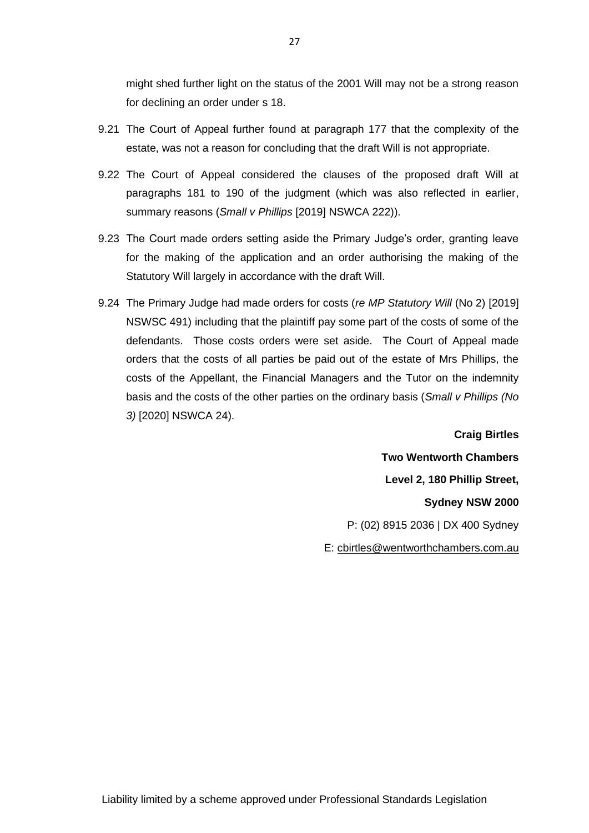might shed further light on the status of the 2001 Will may not be a strong reason for declining an order under s 18.

- 9.21 The Court of Appeal further found at paragraph 177 that the complexity of the estate, was not a reason for concluding that the draft Will is not appropriate.
- 9.22 The Court of Appeal considered the clauses of the proposed draft Will at paragraphs 181 to 190 of the judgment (which was also reflected in earlier, summary reasons (*Small v Phillips* [2019] NSWCA 222)).
- 9.23 The Court made orders setting aside the Primary Judge's order, granting leave for the making of the application and an order authorising the making of the Statutory Will largely in accordance with the draft Will.
- 9.24 The Primary Judge had made orders for costs (*re MP Statutory Will* (No 2) [2019] NSWSC 491) including that the plaintiff pay some part of the costs of some of the defendants. Those costs orders were set aside. The Court of Appeal made orders that the costs of all parties be paid out of the estate of Mrs Phillips, the costs of the Appellant, the Financial Managers and the Tutor on the indemnity basis and the costs of the other parties on the ordinary basis (*Small v Phillips (No 3)* [2020] NSWCA 24).

**Craig Birtles Two Wentworth Chambers Level 2, 180 Phillip Street, Sydney NSW 2000**  P: (02) 8915 2036 | DX 400 Sydney E: [cbirtles@wentworthchambers.com.au](mailto:cbirtles@wentworthchambers.com.au)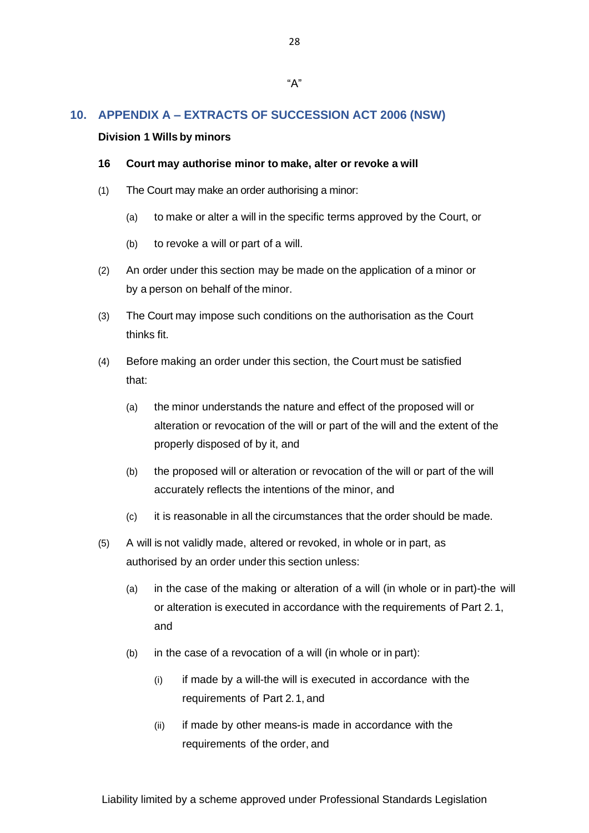## <span id="page-28-0"></span>**10. APPENDIX A – EXTRACTS OF SUCCESSION ACT 2006 (NSW)**

#### **Division 1 Wills by minors**

#### **16 Court may authorise minor to make, alter or revoke a will**

- (1) The Court may make an order authorising a minor:
	- (a) to make or alter a will in the specific terms approved by the Court, or
	- (b) to revoke a will or part of a will.
- (2) An order under this section may be made on the application of a minor or by a person on behalf of the minor.
- (3) The Court may impose such conditions on the authorisation as the Court thinks fit.
- (4) Before making an order under this section, the Court must be satisfied that:
	- (a) the minor understands the nature and effect of the proposed will or alteration or revocation of the will or part of the will and the extent of the properly disposed of by it, and
	- (b) the proposed will or alteration or revocation of the will or part of the will accurately reflects the intentions of the minor, and
	- (c) it is reasonable in all the circumstances that the order should be made.
- (5) A will is not validly made, altered or revoked, in whole or in part, as authorised by an order under this section unless:
	- (a) in the case of the making or alteration of a will (in whole or in part)-the will or alteration is executed in accordance with the requirements of Part 2.1, and
	- (b) in the case of a revocation of a will (in whole or in part):
		- $(i)$  if made by a will-the will is executed in accordance with the requirements of Part 2.1, and
		- (ii) if made by other means-is made in accordance with the requirements of the order, and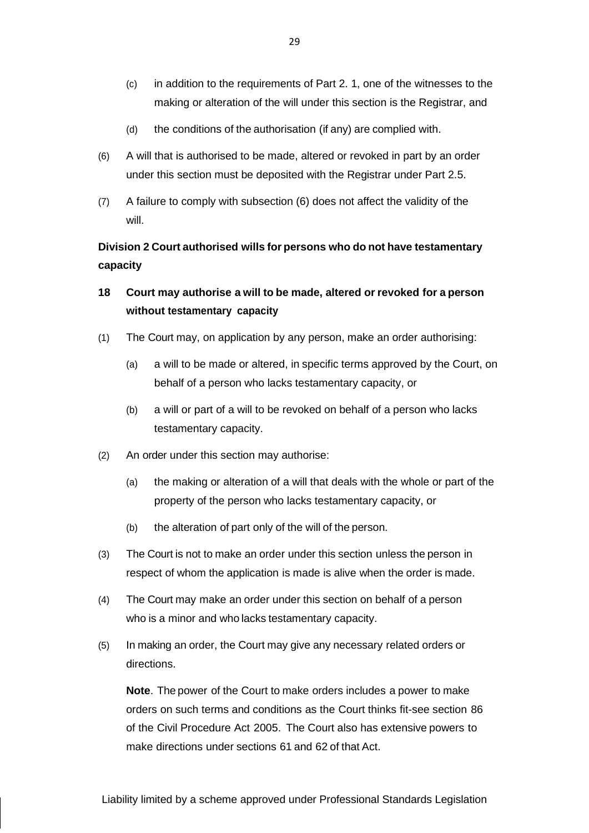- (c) in addition to the requirements of Part 2. 1, one of the witnesses to the making or alteration of the will under this section is the Registrar, and
- (d) the conditions of the authorisation (if any) are complied with.
- (6) A will that is authorised to be made, altered or revoked in part by an order under this section must be deposited with the Registrar under Part 2.5.
- (7) A failure to comply with subsection (6) does not affect the validity of the will.

**Division 2 Court authorised wills for persons who do not have testamentary capacity**

- **18 Court may authorise a will to be made, altered or revoked for a person without testamentary capacity**
- (1) The Court may, on application by any person, make an order authorising:
	- (a) a will to be made or altered, in specific terms approved by the Court, on behalf of a person who lacks testamentary capacity, or
	- (b) a will or part of a will to be revoked on behalf of a person who lacks testamentary capacity.
- (2) An order under this section may authorise:
	- (a) the making or alteration of a will that deals with the whole or part of the property of the person who lacks testamentary capacity, or
	- (b) the alteration of part only of the will of the person.
- (3) The Court is not to make an order under this section unless the person in respect of whom the application is made is alive when the order is made.
- (4) The Court may make an order under this section on behalf of a person who is a minor and who lacks testamentary capacity.
- (5) In making an order, the Court may give any necessary related orders or directions.

**Note**. The power of the Court to make orders includes a power to make orders on such terms and conditions as the Court thinks fit-see section 86 of the Civil Procedure Act 2005. The Court also has extensive powers to make directions under sections 61 and 62 of that Act.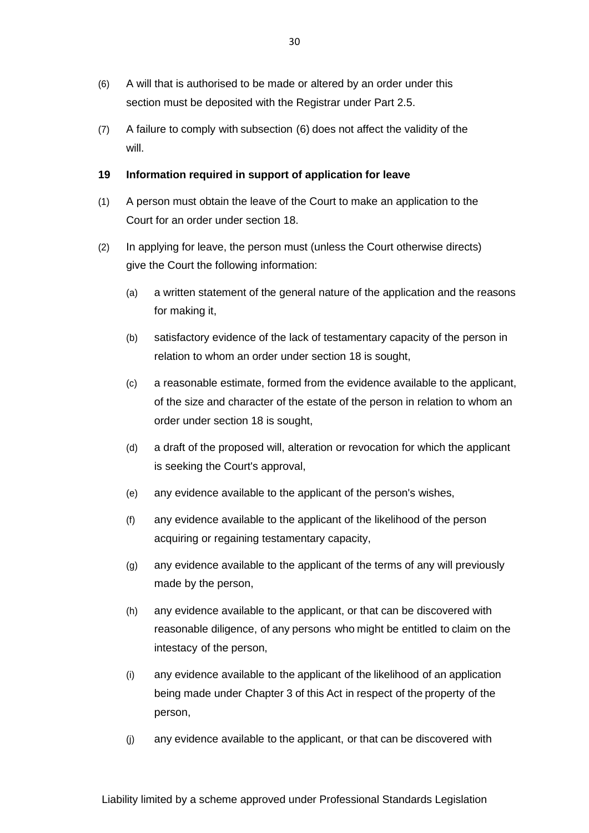- (6) A will that is authorised to be made or altered by an order under this section must be deposited with the Registrar under Part 2.5.
- (7) A failure to comply with subsection (6) does not affect the validity of the will.

### **19 Information required in support of application for leave**

- (1) A person must obtain the leave of the Court to make an application to the Court for an order under section 18.
- (2) In applying for leave, the person must (unless the Court otherwise directs) give the Court the following information:
	- (a) a written statement of the general nature of the application and the reasons for making it,
	- (b) satisfactory evidence of the lack of testamentary capacity of the person in relation to whom an order under section 18 is sought,
	- (c) a reasonable estimate, formed from the evidence available to the applicant, of the size and character of the estate of the person in relation to whom an order under section 18 is sought,
	- (d) a draft of the proposed will, alteration or revocation for which the applicant is seeking the Court's approval,
	- (e) any evidence available to the applicant of the person's wishes,
	- (f) any evidence available to the applicant of the likelihood of the person acquiring or regaining testamentary capacity,
	- (g) any evidence available to the applicant of the terms of any will previously made by the person,
	- (h) any evidence available to the applicant, or that can be discovered with reasonable diligence, of any persons who might be entitled to claim on the intestacy of the person,
	- (i) any evidence available to the applicant of the likelihood of an application being made under Chapter 3 of this Act in respect of the property of the person,
	- (j) any evidence available to the applicant, or that can be discovered with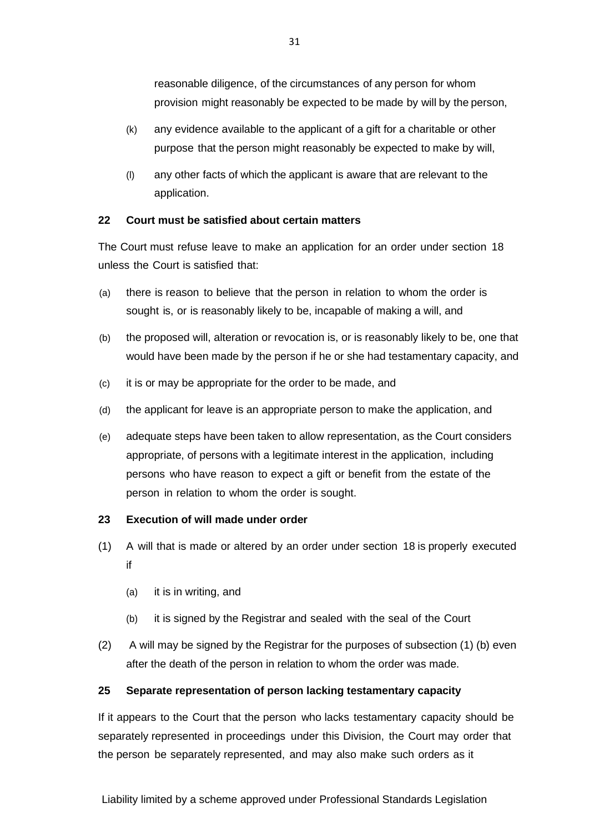reasonable diligence, of the circumstances of any person for whom provision might reasonably be expected to be made by will by the person,

- (k) any evidence available to the applicant of a gift for a charitable or other purpose that the person might reasonably be expected to make by will,
- (l) any other facts of which the applicant is aware that are relevant to the application.

## **22 Court must be satisfied about certain matters**

The Court must refuse leave to make an application for an order under section 18 unless the Court is satisfied that:

- (a) there is reason to believe that the person in relation to whom the order is sought is, or is reasonably likely to be, incapable of making a will, and
- (b) the proposed will, alteration or revocation is, or is reasonably likely to be, one that would have been made by the person if he or she had testamentary capacity, and
- (c) it is or may be appropriate for the order to be made, and
- (d) the applicant for leave is an appropriate person to make the application, and
- (e) adequate steps have been taken to allow representation, as the Court considers appropriate, of persons with a legitimate interest in the application, including persons who have reason to expect a gift or benefit from the estate of the person in relation to whom the order is sought.

## **23 Execution of will made under order**

- (1) A will that is made or altered by an order under section 18 is properly executed if
	- (a) it is in writing, and
	- (b) it is signed by the Registrar and sealed with the seal of the Court
- (2) A will may be signed by the Registrar for the purposes of subsection (1) (b) even after the death of the person in relation to whom the order was made.

## **25 Separate representation of person lacking testamentary capacity**

If it appears to the Court that the person who lacks testamentary capacity should be separately represented in proceedings under this Division, the Court may order that the person be separately represented, and may also make such orders as it